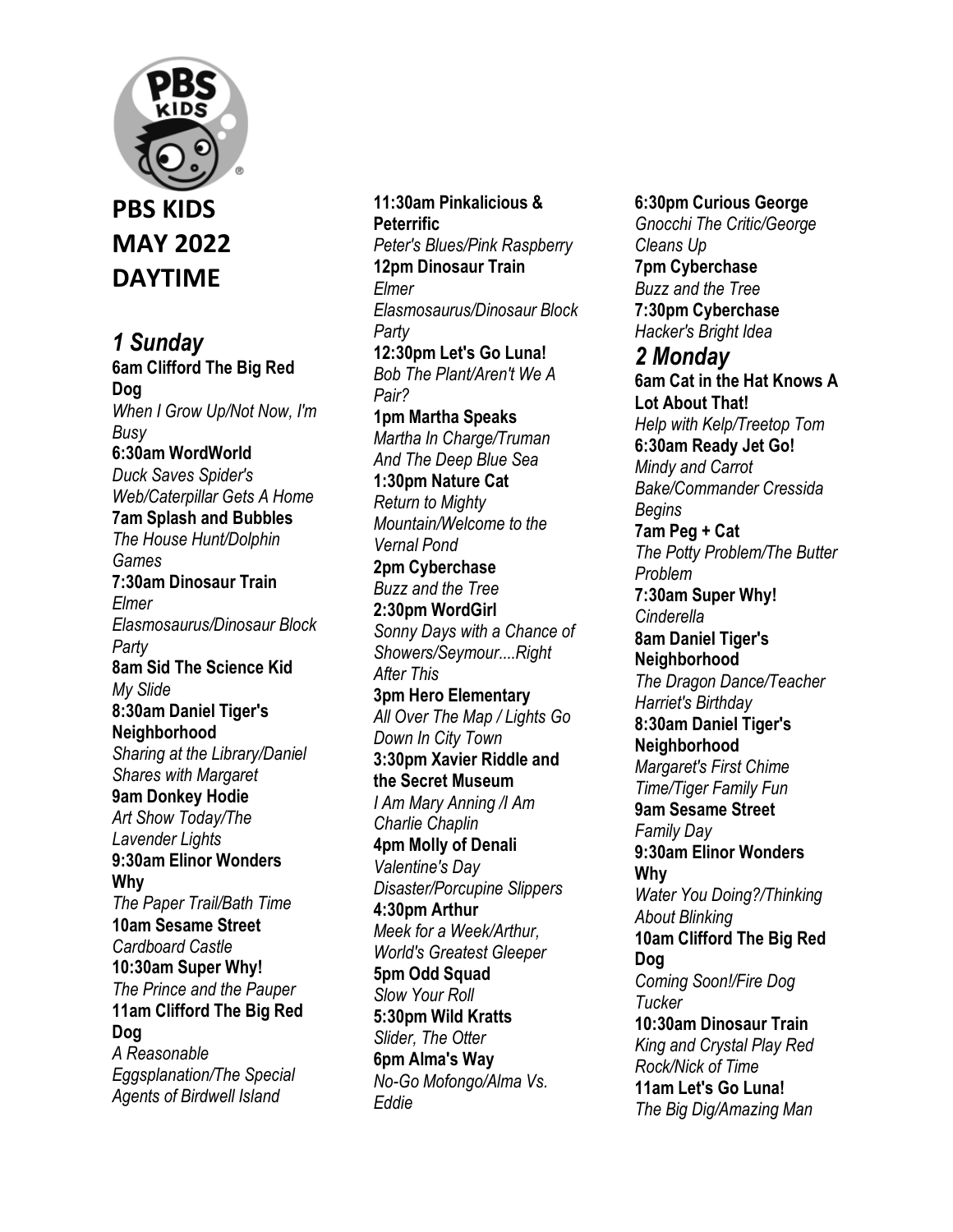

**PBS KIDS MAY 2022 DAYTIME**

*1 Sunday*  **6am Clifford The Big Red Dog**  *When I Grow Up/Not Now, I'm Busy*  **6:30am WordWorld**  *Duck Saves Spider's Web/Caterpillar Gets A Home*  **7am Splash and Bubbles**  *The House Hunt/Dolphin Games*  **7:30am Dinosaur Train**  *Elmer Elasmosaurus/Dinosaur Block Party*  **8am Sid The Science Kid**  *My Slide*  **8:30am Daniel Tiger's Neighborhood**  *Sharing at the Library/Daniel Shares with Margaret*  **9am Donkey Hodie**  *Art Show Today/The Lavender Lights*  **9:30am Elinor Wonders Why**  *The Paper Trail/Bath Time*  **10am Sesame Street**  *Cardboard Castle*  **10:30am Super Why!**  *The Prince and the Pauper*  **11am Clifford The Big Red Dog**  *A Reasonable Eggsplanation/The Special Agents of Birdwell Island* 

**11:30am Pinkalicious & Peterrific**  *Peter's Blues/Pink Raspberry*  **12pm Dinosaur Train**  *Elmer Elasmosaurus/Dinosaur Block Party*  **12:30pm Let's Go Luna!**  *Bob The Plant/Aren't We A Pair?*  **1pm Martha Speaks**  *Martha In Charge/Truman And The Deep Blue Sea*  **1:30pm Nature Cat**  *Return to Mighty Mountain/Welcome to the Vernal Pond*  **2pm Cyberchase**  *Buzz and the Tree*  **2:30pm WordGirl**  *Sonny Days with a Chance of Showers/Seymour....Right After This*  **3pm Hero Elementary**  *All Over The Map / Lights Go Down In City Town*  **3:30pm Xavier Riddle and the Secret Museum**  *I Am Mary Anning /I Am Charlie Chaplin*  **4pm Molly of Denali**  *Valentine's Day Disaster/Porcupine Slippers*  **4:30pm Arthur**  *Meek for a Week/Arthur, World's Greatest Gleeper*  **5pm Odd Squad**  *Slow Your Roll*  **5:30pm Wild Kratts**  *Slider, The Otter*  **6pm Alma's Way**  *No-Go Mofongo/Alma Vs. Eddie* 

**6:30pm Curious George**  *Gnocchi The Critic/George Cleans Up*  **7pm Cyberchase**  *Buzz and the Tree*  **7:30pm Cyberchase**  *Hacker's Bright Idea 2 Monday*  **6am Cat in the Hat Knows A Lot About That!**  *Help with Kelp/Treetop Tom*  **6:30am Ready Jet Go!**  *Mindy and Carrot Bake/Commander Cressida Begins*  **7am Peg + Cat**  *The Potty Problem/The Butter Problem*  **7:30am Super Why!**  *Cinderella*  **8am Daniel Tiger's Neighborhood**  *The Dragon Dance/Teacher Harriet's Birthday*  **8:30am Daniel Tiger's Neighborhood**  *Margaret's First Chime Time/Tiger Family Fun*  **9am Sesame Street**  *Family Day*  **9:30am Elinor Wonders Why**  *Water You Doing?/Thinking About Blinking*  **10am Clifford The Big Red Dog**  *Coming Soon!/Fire Dog Tucker*  **10:30am Dinosaur Train**  *King and Crystal Play Red Rock/Nick of Time*  **11am Let's Go Luna!**  *The Big Dig/Amazing Man*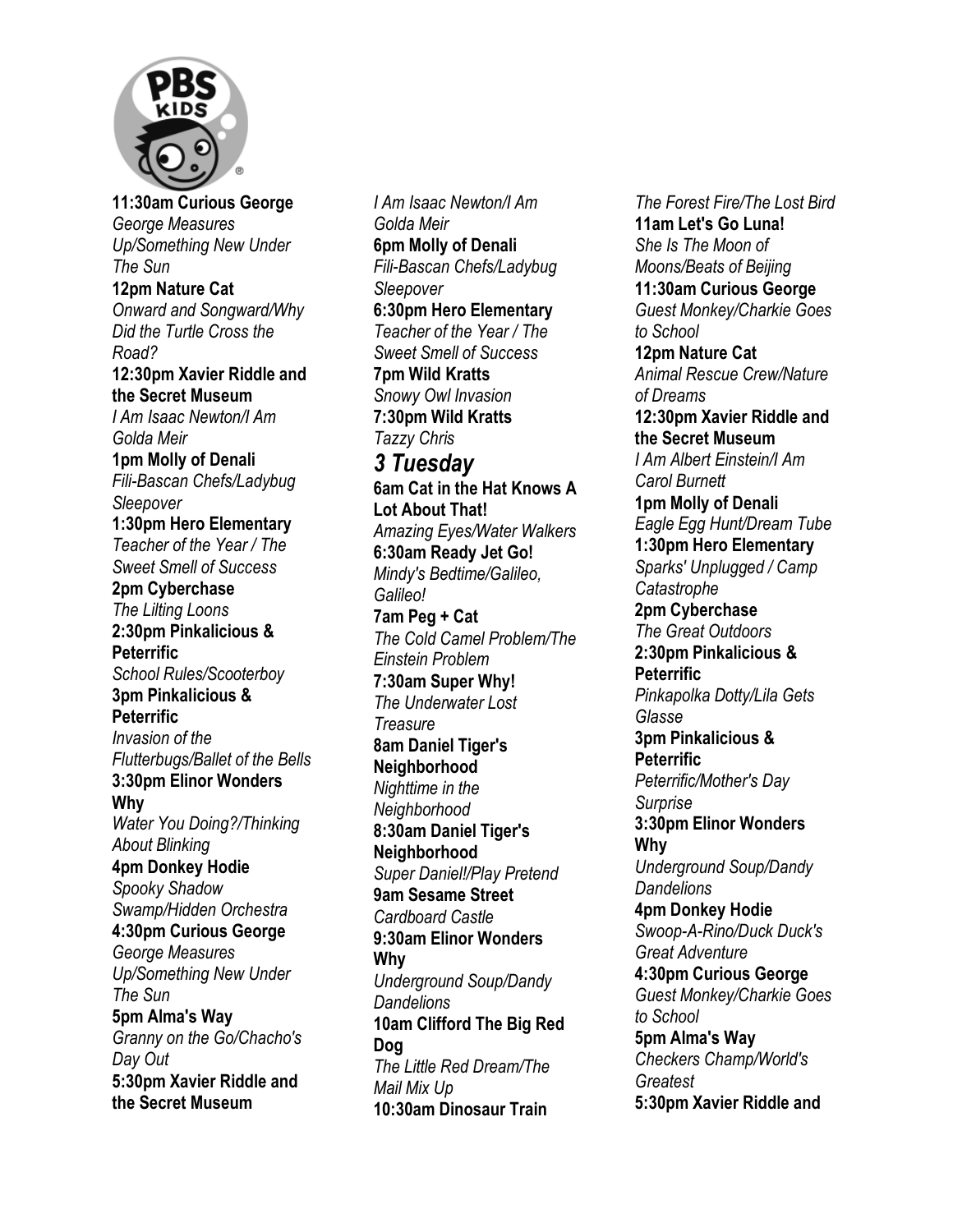

**11:30am Curious George**  *George Measures Up/Something New Under The Sun*  **12pm Nature Cat**  *Onward and Songward/Why Did the Turtle Cross the Road?*  **12:30pm Xavier Riddle and the Secret Museum**  *I Am Isaac Newton/I Am Golda Meir*  **1pm Molly of Denali**  *Fili-Bascan Chefs/Ladybug Sleepover*  **1:30pm Hero Elementary**  *Teacher of the Year / The Sweet Smell of Success*  **2pm Cyberchase**  *The Lilting Loons*  **2:30pm Pinkalicious & Peterrific**  *School Rules/Scooterboy*  **3pm Pinkalicious & Peterrific**  *Invasion of the Flutterbugs/Ballet of the Bells*  **3:30pm Elinor Wonders Why**  *Water You Doing?/Thinking About Blinking*  **4pm Donkey Hodie**  *Spooky Shadow Swamp/Hidden Orchestra*  **4:30pm Curious George**  *George Measures Up/Something New Under The Sun*  **5pm Alma's Way**  *Granny on the Go/Chacho's Day Out*  **5:30pm Xavier Riddle and the Secret Museum** 

*I Am Isaac Newton/I Am Golda Meir*  **6pm Molly of Denali**  *Fili-Bascan Chefs/Ladybug Sleepover*  **6:30pm Hero Elementary**  *Teacher of the Year / The Sweet Smell of Success*  **7pm Wild Kratts**  *Snowy Owl Invasion*  **7:30pm Wild Kratts**  *Tazzy Chris 3 Tuesday*  **6am Cat in the Hat Knows A Lot About That!**  *Amazing Eyes/Water Walkers*  **6:30am Ready Jet Go!**  *Mindy's Bedtime/Galileo, Galileo!*  **7am Peg + Cat**  *The Cold Camel Problem/The Einstein Problem*  **7:30am Super Why!**  *The Underwater Lost Treasure*  **8am Daniel Tiger's Neighborhood**  *Nighttime in the Neighborhood*  **8:30am Daniel Tiger's Neighborhood**  *Super Daniel!/Play Pretend*  **9am Sesame Street**  *Cardboard Castle*  **9:30am Elinor Wonders Why**  *Underground Soup/Dandy Dandelions*  **10am Clifford The Big Red Dog**  *The Little Red Dream/The Mail Mix Up*  **10:30am Dinosaur Train** 

*The Forest Fire/The Lost Bird*  **11am Let's Go Luna!**  *She Is The Moon of Moons/Beats of Beijing*  **11:30am Curious George**  *Guest Monkey/Charkie Goes to School*  **12pm Nature Cat**  *Animal Rescue Crew/Nature of Dreams*  **12:30pm Xavier Riddle and the Secret Museum**  *I Am Albert Einstein/I Am Carol Burnett*  **1pm Molly of Denali**  *Eagle Egg Hunt/Dream Tube*  **1:30pm Hero Elementary**  *Sparks' Unplugged / Camp Catastrophe*  **2pm Cyberchase**  *The Great Outdoors*  **2:30pm Pinkalicious & Peterrific**  *Pinkapolka Dotty/Lila Gets Glasse*  **3pm Pinkalicious & Peterrific**  *Peterrific/Mother's Day Surprise*  **3:30pm Elinor Wonders Why**  *Underground Soup/Dandy Dandelions*  **4pm Donkey Hodie**  *Swoop-A-Rino/Duck Duck's Great Adventure*  **4:30pm Curious George**  *Guest Monkey/Charkie Goes to School*  **5pm Alma's Way**  *Checkers Champ/World's Greatest*  **5:30pm Xavier Riddle and**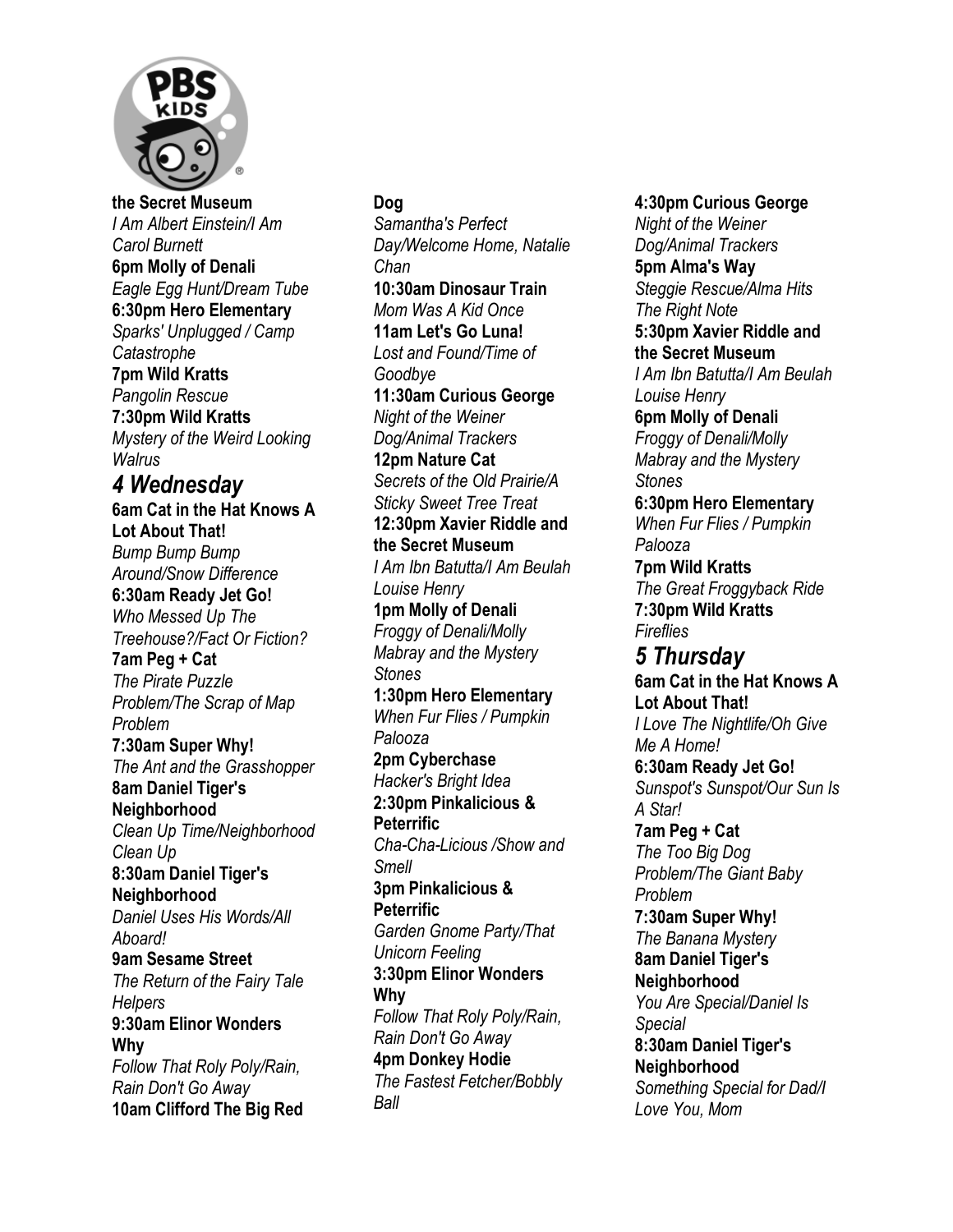

**the Secret Museum**  *I Am Albert Einstein/I Am Carol Burnett*  **6pm Molly of Denali**  *Eagle Egg Hunt/Dream Tube*  **6:30pm Hero Elementary**  *Sparks' Unplugged / Camp Catastrophe*  **7pm Wild Kratts**  *Pangolin Rescue*  **7:30pm Wild Kratts**  *Mystery of the Weird Looking Walrus 4 Wednesday*  **6am Cat in the Hat Knows A Lot About That!**  *Bump Bump Bump Around/Snow Difference*  **6:30am Ready Jet Go!**  *Who Messed Up The Treehouse?/Fact Or Fiction?*  **7am Peg + Cat**  *The Pirate Puzzle Problem/The Scrap of Map Problem*  **7:30am Super Why!**  *The Ant and the Grasshopper*  **8am Daniel Tiger's Neighborhood**  *Clean Up Time/Neighborhood Clean Up*  **8:30am Daniel Tiger's Neighborhood**  *Daniel Uses His Words/All Aboard!*  **9am Sesame Street**  *The Return of the Fairy Tale Helpers*  **9:30am Elinor Wonders Why**  *Follow That Roly Poly/Rain, Rain Don't Go Away*  **10am Clifford The Big Red** 

## **Dog**

*Samantha's Perfect Day/Welcome Home, Natalie Chan*  **10:30am Dinosaur Train**  *Mom Was A Kid Once*  **11am Let's Go Luna!**  *Lost and Found/Time of Goodbye*  **11:30am Curious George**  *Night of the Weiner Dog/Animal Trackers*  **12pm Nature Cat**  *Secrets of the Old Prairie/A Sticky Sweet Tree Treat*  **12:30pm Xavier Riddle and the Secret Museum**  *I Am Ibn Batutta/I Am Beulah Louise Henry*  **1pm Molly of Denali**  *Froggy of Denali/Molly Mabray and the Mystery Stones*  **1:30pm Hero Elementary**  *When Fur Flies / Pumpkin Palooza*  **2pm Cyberchase**  *Hacker's Bright Idea*  **2:30pm Pinkalicious & Peterrific**  *Cha-Cha-Licious /Show and Smell*  **3pm Pinkalicious & Peterrific**  *Garden Gnome Party/That Unicorn Feeling*  **3:30pm Elinor Wonders Why**  *Follow That Roly Poly/Rain, Rain Don't Go Away*  **4pm Donkey Hodie**  *The Fastest Fetcher/Bobbly Ball* 

**4:30pm Curious George**  *Night of the Weiner Dog/Animal Trackers*  **5pm Alma's Way**  *Steggie Rescue/Alma Hits The Right Note*  **5:30pm Xavier Riddle and the Secret Museum**  *I Am Ibn Batutta/I Am Beulah Louise Henry*  **6pm Molly of Denali**  *Froggy of Denali/Molly Mabray and the Mystery Stones*  **6:30pm Hero Elementary**  *When Fur Flies / Pumpkin Palooza*  **7pm Wild Kratts**  *The Great Froggyback Ride*  **7:30pm Wild Kratts**  *Fireflies 5 Thursday*  **6am Cat in the Hat Knows A Lot About That!**  *I Love The Nightlife/Oh Give Me A Home!*  **6:30am Ready Jet Go!**  *Sunspot's Sunspot/Our Sun Is A Star!*  **7am Peg + Cat**  *The Too Big Dog Problem/The Giant Baby Problem*  **7:30am Super Why!**  *The Banana Mystery*  **8am Daniel Tiger's Neighborhood**  *You Are Special/Daniel Is Special*  **8:30am Daniel Tiger's Neighborhood**  *Something Special for Dad/I Love You, Mom*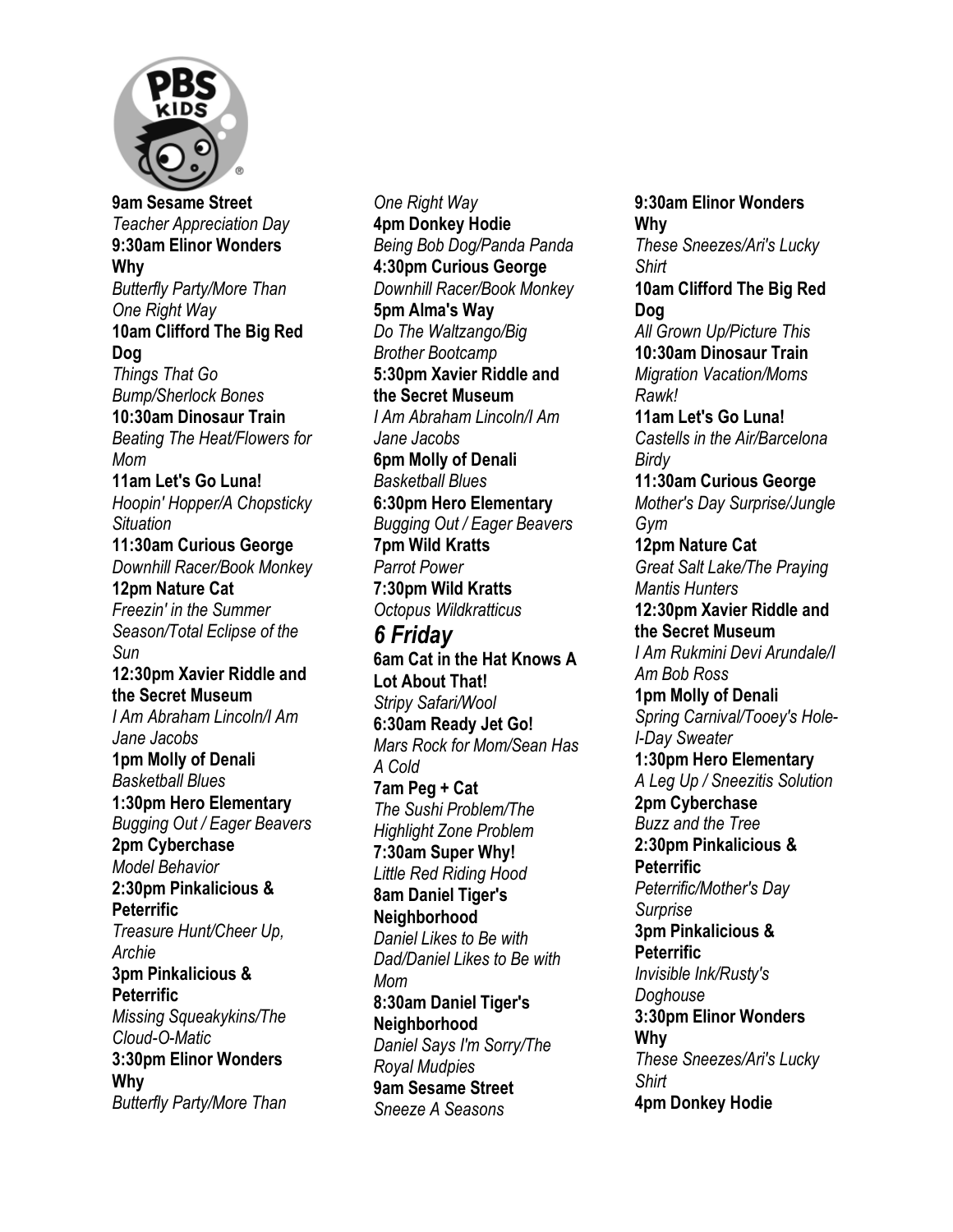

**9am Sesame Street**  *Teacher Appreciation Day*  **9:30am Elinor Wonders Why**  *Butterfly Party/More Than One Right Way*  **10am Clifford The Big Red Dog**  *Things That Go Bump/Sherlock Bones*  **10:30am Dinosaur Train**  *Beating The Heat/Flowers for Mom*  **11am Let's Go Luna!**  *Hoopin' Hopper/A Chopsticky Situation*  **11:30am Curious George**  *Downhill Racer/Book Monkey*  **12pm Nature Cat**  *Freezin' in the Summer Season/Total Eclipse of the Sun*  **12:30pm Xavier Riddle and the Secret Museum**  *I Am Abraham Lincoln/I Am Jane Jacobs*  **1pm Molly of Denali**  *Basketball Blues*  **1:30pm Hero Elementary**  *Bugging Out / Eager Beavers*  **2pm Cyberchase**  *Model Behavior*  **2:30pm Pinkalicious & Peterrific**  *Treasure Hunt/Cheer Up, Archie*  **3pm Pinkalicious & Peterrific**  *Missing Squeakykins/The Cloud-O-Matic*  **3:30pm Elinor Wonders Why**  *Butterfly Party/More Than* 

*One Right Way*  **4pm Donkey Hodie**  *Being Bob Dog/Panda Panda*  **4:30pm Curious George**  *Downhill Racer/Book Monkey*  **5pm Alma's Way**  *Do The Waltzango/Big Brother Bootcamp*  **5:30pm Xavier Riddle and the Secret Museum**  *I Am Abraham Lincoln/I Am Jane Jacobs*  **6pm Molly of Denali**  *Basketball Blues*  **6:30pm Hero Elementary**  *Bugging Out / Eager Beavers*  **7pm Wild Kratts**  *Parrot Power*  **7:30pm Wild Kratts**  *Octopus Wildkratticus 6 Friday*  **6am Cat in the Hat Knows A Lot About That!**  *Stripy Safari/Wool*  **6:30am Ready Jet Go!**  *Mars Rock for Mom/Sean Has A Cold*  **7am Peg + Cat**  *The Sushi Problem/The Highlight Zone Problem*  **7:30am Super Why!**  *Little Red Riding Hood*  **8am Daniel Tiger's Neighborhood**  *Daniel Likes to Be with Dad/Daniel Likes to Be with Mom*  **8:30am Daniel Tiger's Neighborhood**  *Daniel Says I'm Sorry/The Royal Mudpies*  **9am Sesame Street**  *Sneeze A Seasons* 

**9:30am Elinor Wonders Why**  *These Sneezes/Ari's Lucky Shirt*  **10am Clifford The Big Red Dog**  *All Grown Up/Picture This*  **10:30am Dinosaur Train**  *Migration Vacation/Moms Rawk!*  **11am Let's Go Luna!**  *Castells in the Air/Barcelona Birdy*  **11:30am Curious George**  *Mother's Day Surprise/Jungle Gym*  **12pm Nature Cat**  *Great Salt Lake/The Praying Mantis Hunters*  **12:30pm Xavier Riddle and the Secret Museum**  *I Am Rukmini Devi Arundale/I Am Bob Ross*  **1pm Molly of Denali**  *Spring Carnival/Tooey's Hole-I-Day Sweater*  **1:30pm Hero Elementary**  *A Leg Up / Sneezitis Solution*  **2pm Cyberchase**  *Buzz and the Tree*  **2:30pm Pinkalicious & Peterrific**  *Peterrific/Mother's Day Surprise*  **3pm Pinkalicious & Peterrific**  *Invisible Ink/Rusty's Doghouse*  **3:30pm Elinor Wonders Why**  *These Sneezes/Ari's Lucky Shirt*  **4pm Donkey Hodie**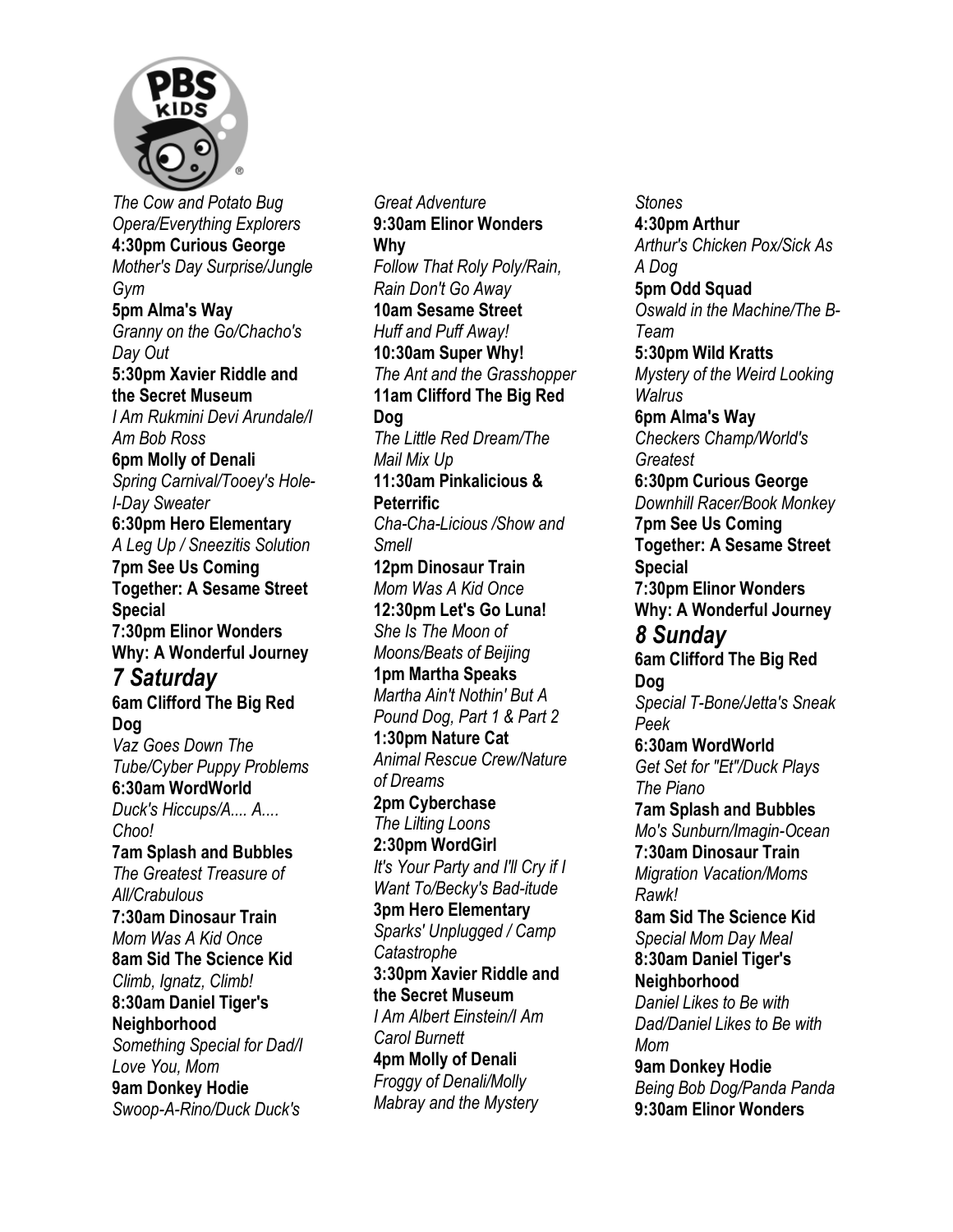

*The Cow and Potato Bug Opera/Everything Explorers*  **4:30pm Curious George**  *Mother's Day Surprise/Jungle Gym*  **5pm Alma's Way**  *Granny on the Go/Chacho's Day Out*  **5:30pm Xavier Riddle and the Secret Museum**  *I Am Rukmini Devi Arundale/I Am Bob Ross*  **6pm Molly of Denali**  *Spring Carnival/Tooey's Hole-I-Day Sweater*  **6:30pm Hero Elementary**  *A Leg Up / Sneezitis Solution*  **7pm See Us Coming Together: A Sesame Street Special 7:30pm Elinor Wonders Why: A Wonderful Journey**  *7 Saturday*  **6am Clifford The Big Red Dog**  *Vaz Goes Down The Tube/Cyber Puppy Problems*  **6:30am WordWorld**  *Duck's Hiccups/A.... A.... Choo!*  **7am Splash and Bubbles**  *The Greatest Treasure of All/Crabulous*  **7:30am Dinosaur Train**  *Mom Was A Kid Once*  **8am Sid The Science Kid**  *Climb, Ignatz, Climb!*  **8:30am Daniel Tiger's Neighborhood**  *Something Special for Dad/I Love You, Mom*  **9am Donkey Hodie**  *Swoop-A-Rino/Duck Duck's* 

*Great Adventure*  **9:30am Elinor Wonders Why**  *Follow That Roly Poly/Rain, Rain Don't Go Away*  **10am Sesame Street**  *Huff and Puff Away!*  **10:30am Super Why!**  *The Ant and the Grasshopper*  **11am Clifford The Big Red Dog**  *The Little Red Dream/The Mail Mix Up*  **11:30am Pinkalicious & Peterrific**  *Cha-Cha-Licious /Show and Smell*  **12pm Dinosaur Train**  *Mom Was A Kid Once*  **12:30pm Let's Go Luna!**  *She Is The Moon of Moons/Beats of Beijing*  **1pm Martha Speaks**  *Martha Ain't Nothin' But A Pound Dog, Part 1 & Part 2*  **1:30pm Nature Cat**  *Animal Rescue Crew/Nature of Dreams*  **2pm Cyberchase**  *The Lilting Loons*  **2:30pm WordGirl**  *It's Your Party and I'll Cry if I Want To/Becky's Bad-itude*  **3pm Hero Elementary**  *Sparks' Unplugged / Camp Catastrophe*  **3:30pm Xavier Riddle and the Secret Museum**  *I Am Albert Einstein/I Am Carol Burnett*  **4pm Molly of Denali**  *Froggy of Denali/Molly Mabray and the Mystery* 

*Stones*  **4:30pm Arthur**  *Arthur's Chicken Pox/Sick As A Dog*  **5pm Odd Squad**  *Oswald in the Machine/The B-Team*  **5:30pm Wild Kratts**  *Mystery of the Weird Looking Walrus*  **6pm Alma's Way**  *Checkers Champ/World's Greatest*  **6:30pm Curious George**  *Downhill Racer/Book Monkey*  **7pm See Us Coming Together: A Sesame Street Special 7:30pm Elinor Wonders Why: A Wonderful Journey**  *8 Sunday*  **6am Clifford The Big Red Dog**  *Special T-Bone/Jetta's Sneak Peek*  **6:30am WordWorld**  *Get Set for "Et"/Duck Plays The Piano*  **7am Splash and Bubbles**  *Mo's Sunburn/Imagin-Ocean*  **7:30am Dinosaur Train**  *Migration Vacation/Moms Rawk!*  **8am Sid The Science Kid**  *Special Mom Day Meal*  **8:30am Daniel Tiger's Neighborhood**  *Daniel Likes to Be with Dad/Daniel Likes to Be with Mom* **9am Donkey Hodie**  *Being Bob Dog/Panda Panda*  **9:30am Elinor Wonders**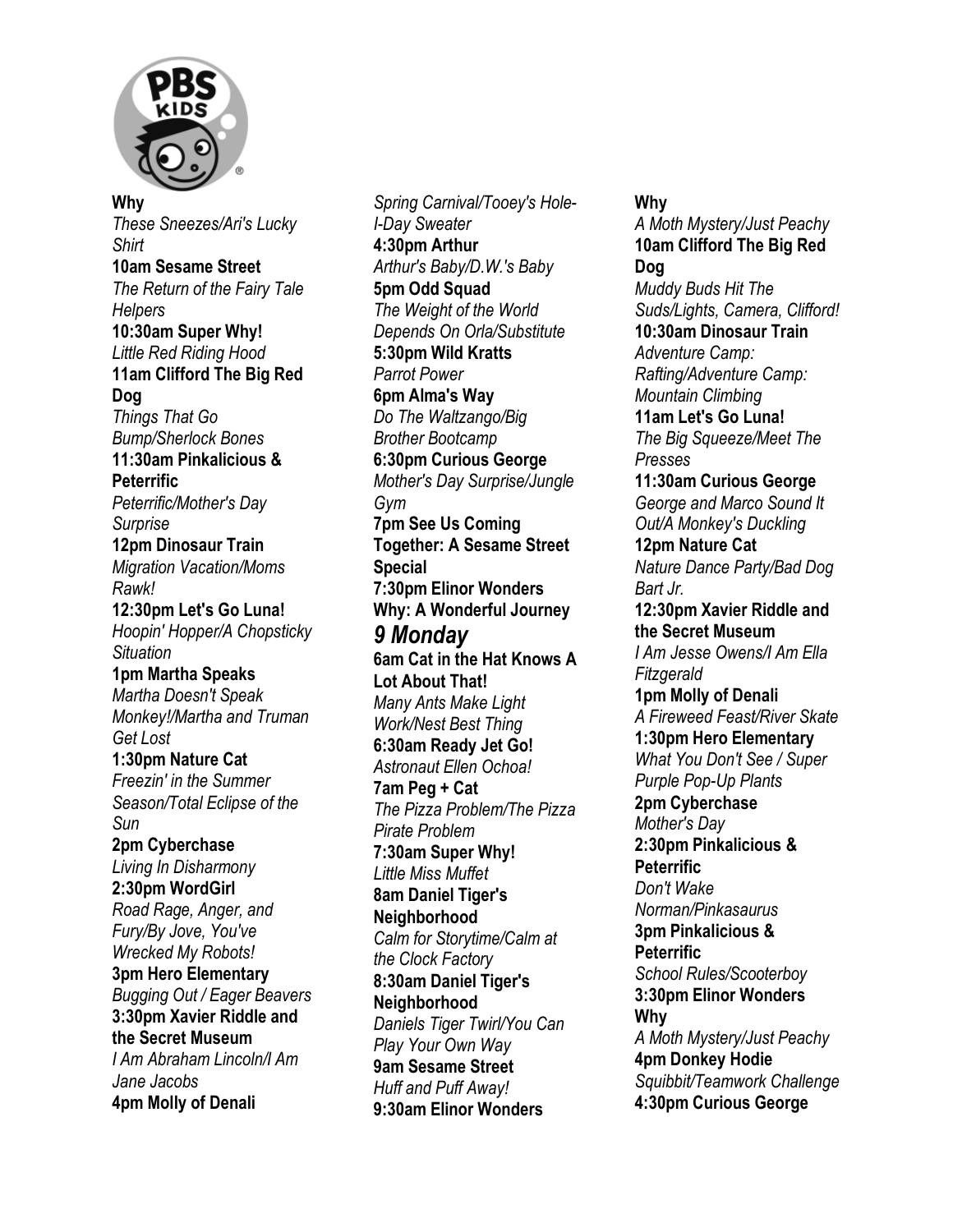

**Why**  *These Sneezes/Ari's Lucky Shirt*  **10am Sesame Street**  *The Return of the Fairy Tale Helpers*  **10:30am Super Why!**  *Little Red Riding Hood*  **11am Clifford The Big Red Dog**  *Things That Go Bump/Sherlock Bones*  **11:30am Pinkalicious & Peterrific**  *Peterrific/Mother's Day Surprise*  **12pm Dinosaur Train**  *Migration Vacation/Moms Rawk!*  **12:30pm Let's Go Luna!**  *Hoopin' Hopper/A Chopsticky Situation*  **1pm Martha Speaks**  *Martha Doesn't Speak Monkey!/Martha and Truman Get Lost*  **1:30pm Nature Cat**  *Freezin' in the Summer Season/Total Eclipse of the Sun*  **2pm Cyberchase**  *Living In Disharmony*  **2:30pm WordGirl**  *Road Rage, Anger, and Fury/By Jove, You've Wrecked My Robots!*  **3pm Hero Elementary**  *Bugging Out / Eager Beavers*  **3:30pm Xavier Riddle and the Secret Museum**  *I Am Abraham Lincoln/I Am Jane Jacobs*  **4pm Molly of Denali** 

*Spring Carnival/Tooey's Hole-I-Day Sweater*  **4:30pm Arthur**  *Arthur's Baby/D.W.'s Baby*  **5pm Odd Squad**  *The Weight of the World Depends On Orla/Substitute*  **5:30pm Wild Kratts**  *Parrot Power*  **6pm Alma's Way**  *Do The Waltzango/Big Brother Bootcamp*  **6:30pm Curious George**  *Mother's Day Surprise/Jungle Gym*  **7pm See Us Coming Together: A Sesame Street Special 7:30pm Elinor Wonders Why: A Wonderful Journey**  *9 Monday*  **6am Cat in the Hat Knows A Lot About That!**  *Many Ants Make Light Work/Nest Best Thing*  **6:30am Ready Jet Go!**  *Astronaut Ellen Ochoa!*  **7am Peg + Cat**  *The Pizza Problem/The Pizza Pirate Problem*  **7:30am Super Why!**  *Little Miss Muffet*  **8am Daniel Tiger's Neighborhood**  *Calm for Storytime/Calm at the Clock Factory*  **8:30am Daniel Tiger's Neighborhood**  *Daniels Tiger Twirl/You Can Play Your Own Way*  **9am Sesame Street**  *Huff and Puff Away!*  **9:30am Elinor Wonders** 

*A Moth Mystery/Just Peachy*  **10am Clifford The Big Red Dog**  *Muddy Buds Hit The Suds/Lights, Camera, Clifford!*  **10:30am Dinosaur Train**  *Adventure Camp: Rafting/Adventure Camp: Mountain Climbing*  **11am Let's Go Luna!**  *The Big Squeeze/Meet The Presses*  **11:30am Curious George**  *George and Marco Sound It Out/A Monkey's Duckling*  **12pm Nature Cat**  *Nature Dance Party/Bad Dog Bart Jr.*  **12:30pm Xavier Riddle and the Secret Museum**  *I Am Jesse Owens/I Am Ella Fitzgerald*  **1pm Molly of Denali**  *A Fireweed Feast/River Skate*  **1:30pm Hero Elementary**  *What You Don't See / Super Purple Pop-Up Plants*  **2pm Cyberchase**  *Mother's Day*  **2:30pm Pinkalicious & Peterrific**  *Don't Wake Norman/Pinkasaurus*  **3pm Pinkalicious & Peterrific**  *School Rules/Scooterboy*  **3:30pm Elinor Wonders Why**  *A Moth Mystery/Just Peachy*  **4pm Donkey Hodie**  *Squibbit/Teamwork Challenge*  **4:30pm Curious George** 

**Why**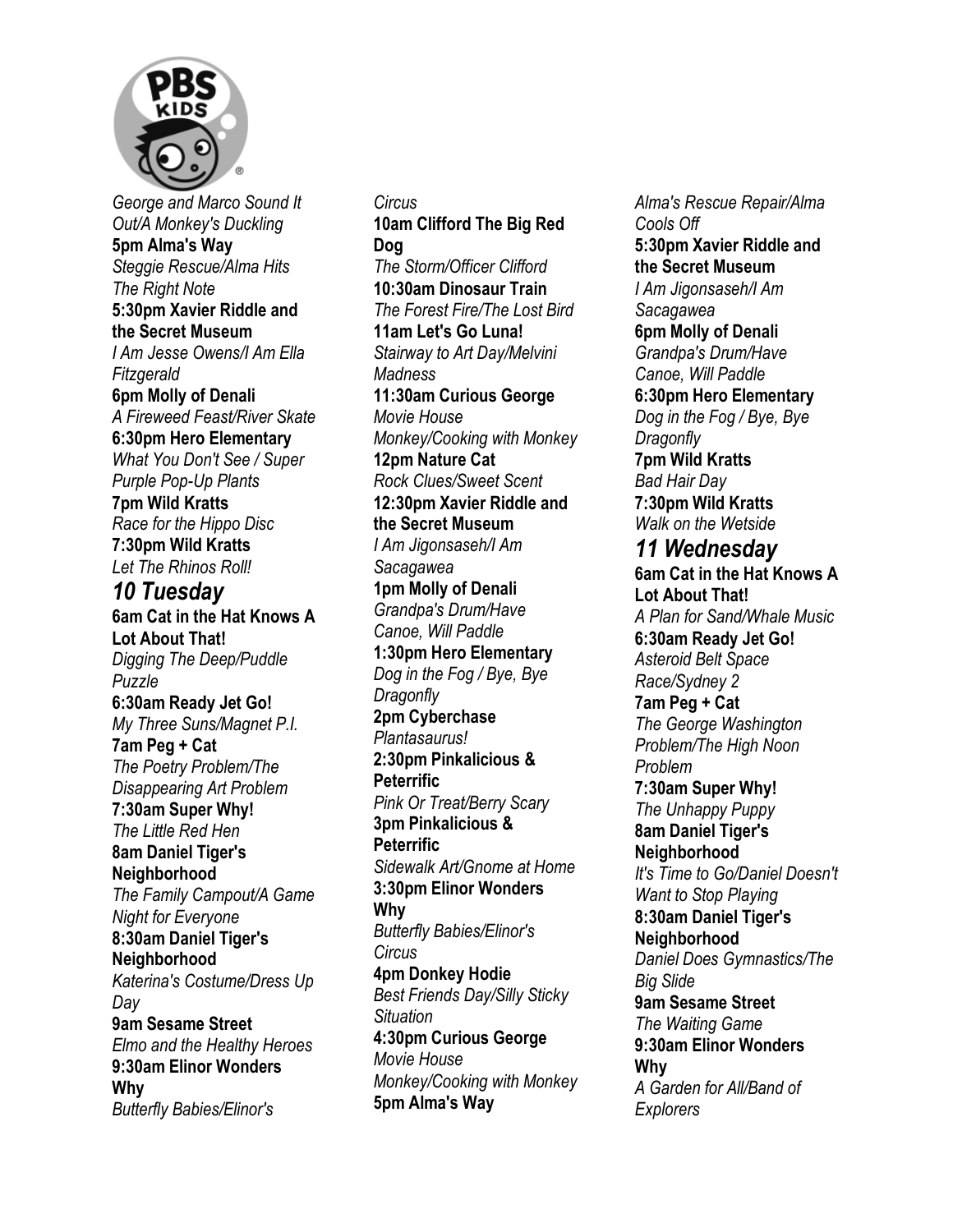

*George and Marco Sound It Out/A Monkey's Duckling*  **5pm Alma's Way**  *Steggie Rescue/Alma Hits The Right Note*  **5:30pm Xavier Riddle and the Secret Museum**  *I Am Jesse Owens/I Am Ella Fitzgerald*  **6pm Molly of Denali**  *A Fireweed Feast/River Skate*  **6:30pm Hero Elementary**  *What You Don't See / Super Purple Pop-Up Plants*  **7pm Wild Kratts**  *Race for the Hippo Disc*  **7:30pm Wild Kratts**  *Let The Rhinos Roll! 10 Tuesday*  **6am Cat in the Hat Knows A Lot About That!**  *Digging The Deep/Puddle Puzzle*  **6:30am Ready Jet Go!**  *My Three Suns/Magnet P.I.*  **7am Peg + Cat**  *The Poetry Problem/The Disappearing Art Problem*  **7:30am Super Why!**  *The Little Red Hen*  **8am Daniel Tiger's Neighborhood**  *The Family Campout/A Game Night for Everyone*  **8:30am Daniel Tiger's Neighborhood**  *Katerina's Costume/Dress Up Day*  **9am Sesame Street**  *Elmo and the Healthy Heroes*  **9:30am Elinor Wonders** 

**Why**  *Butterfly Babies/Elinor's* 

*Circus*  **10am Clifford The Big Red Dog**  *The Storm/Officer Clifford*  **10:30am Dinosaur Train**  *The Forest Fire/The Lost Bird*  **11am Let's Go Luna!**  *Stairway to Art Day/Melvini Madness*  **11:30am Curious George**  *Movie House Monkey/Cooking with Monkey*  **12pm Nature Cat**  *Rock Clues/Sweet Scent*  **12:30pm Xavier Riddle and the Secret Museum**  *I Am Jigonsaseh/I Am Sacagawea*  **1pm Molly of Denali**  *Grandpa's Drum/Have Canoe, Will Paddle*  **1:30pm Hero Elementary**  *Dog in the Fog / Bye, Bye Dragonfly*  **2pm Cyberchase**  *Plantasaurus!*  **2:30pm Pinkalicious & Peterrific**  *Pink Or Treat/Berry Scary*  **3pm Pinkalicious & Peterrific**  *Sidewalk Art/Gnome at Home*  **3:30pm Elinor Wonders Why**  *Butterfly Babies/Elinor's Circus*  **4pm Donkey Hodie**  *Best Friends Day/Silly Sticky Situation*  **4:30pm Curious George**  *Movie House Monkey/Cooking with Monkey*  **5pm Alma's Way** 

*Alma's Rescue Repair/Alma Cools Off*  **5:30pm Xavier Riddle and the Secret Museum**  *I Am Jigonsaseh/I Am Sacagawea*  **6pm Molly of Denali**  *Grandpa's Drum/Have Canoe, Will Paddle*  **6:30pm Hero Elementary**  *Dog in the Fog / Bye, Bye Dragonfly*  **7pm Wild Kratts**  *Bad Hair Day*  **7:30pm Wild Kratts**  *Walk on the Wetside 11 Wednesday*  **6am Cat in the Hat Knows A Lot About That!**  *A Plan for Sand/Whale Music*  **6:30am Ready Jet Go!**  *Asteroid Belt Space Race/Sydney 2*  **7am Peg + Cat**  *The George Washington Problem/The High Noon Problem*  **7:30am Super Why!**  *The Unhappy Puppy*  **8am Daniel Tiger's Neighborhood**  *It's Time to Go/Daniel Doesn't Want to Stop Playing*  **8:30am Daniel Tiger's Neighborhood**  *Daniel Does Gymnastics/The Big Slide*  **9am Sesame Street**  *The Waiting Game*  **9:30am Elinor Wonders Why**  *A Garden for All/Band of Explorers*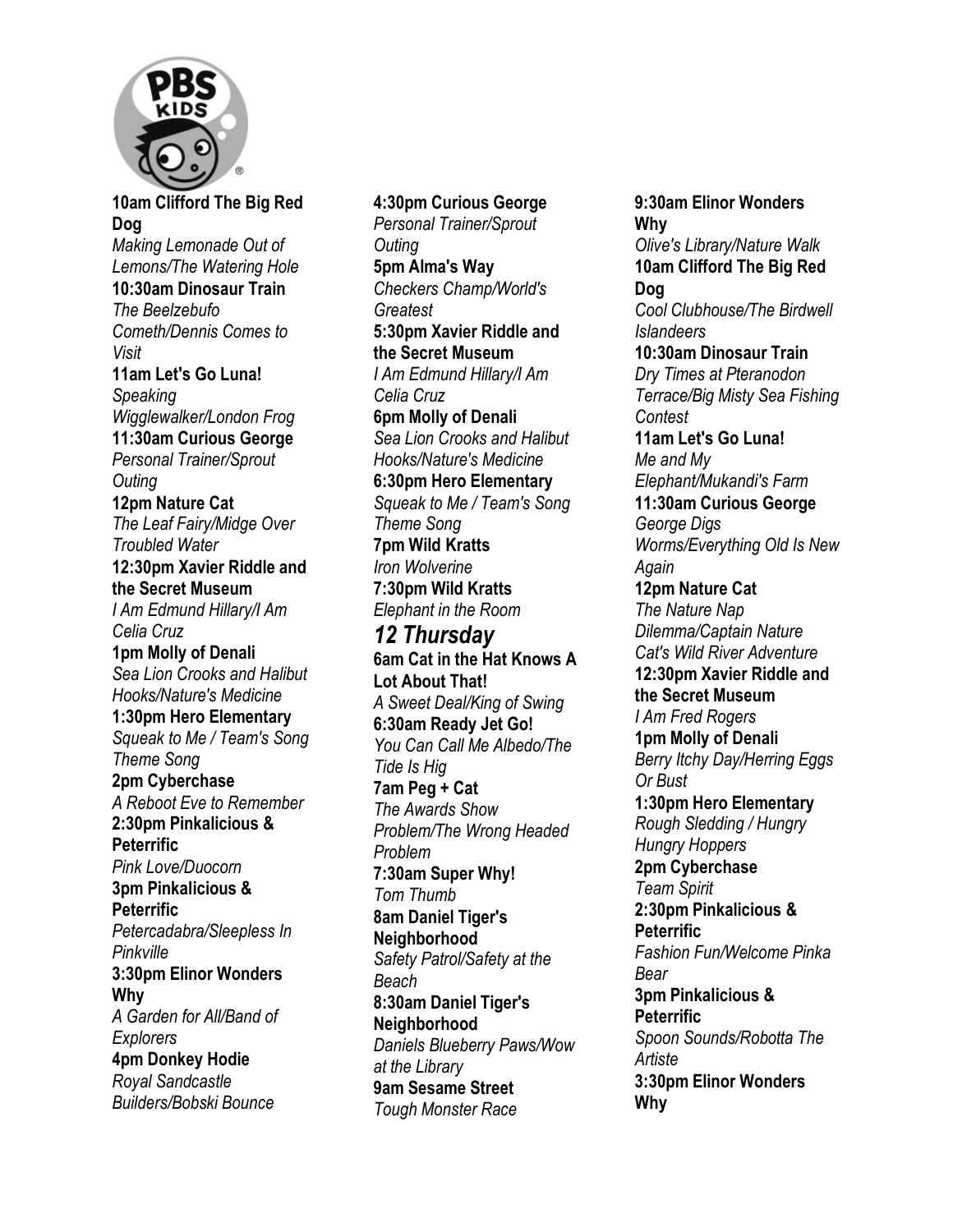

**10am Clifford The Big Red Dog**  *Making Lemonade Out of Lemons/The Watering Hole*  **10:30am Dinosaur Train**  *The Beelzebufo Cometh/Dennis Comes to Visit*  **11am Let's Go Luna!**  *Speaking Wigglewalker/London Frog*  **11:30am Curious George**  *Personal Trainer/Sprout Outing*  **12pm Nature Cat**  *The Leaf Fairy/Midge Over Troubled Water*  **12:30pm Xavier Riddle and the Secret Museum**  *I Am Edmund Hillary/I Am Celia Cruz*  **1pm Molly of Denali**  *Sea Lion Crooks and Halibut Hooks/Nature's Medicine*  **1:30pm Hero Elementary**  *Squeak to Me / Team's Song Theme Song*  **2pm Cyberchase**  *A Reboot Eve to Remember*  **2:30pm Pinkalicious & Peterrific**  *Pink Love/Duocorn*  **3pm Pinkalicious & Peterrific**  *Petercadabra/Sleepless In Pinkville*  **3:30pm Elinor Wonders Why**  *A Garden for All/Band of Explorers*  **4pm Donkey Hodie**  *Royal Sandcastle Builders/Bobski Bounce* 

**4:30pm Curious George**  *Personal Trainer/Sprout Outing*  **5pm Alma's Way**  *Checkers Champ/World's Greatest*  **5:30pm Xavier Riddle and the Secret Museum**  *I Am Edmund Hillary/I Am Celia Cruz*  **6pm Molly of Denali**  *Sea Lion Crooks and Halibut Hooks/Nature's Medicine*  **6:30pm Hero Elementary**  *Squeak to Me / Team's Song Theme Song*  **7pm Wild Kratts**  *Iron Wolverine*  **7:30pm Wild Kratts**  *Elephant in the Room 12 Thursday*  **6am Cat in the Hat Knows A Lot About That!**  *A Sweet Deal/King of Swing*  **6:30am Ready Jet Go!**  *You Can Call Me Albedo/The Tide Is Hig*  **7am Peg + Cat**  *The Awards Show Problem/The Wrong Headed Problem*  **7:30am Super Why!**  *Tom Thumb*  **8am Daniel Tiger's Neighborhood**  *Safety Patrol/Safety at the Beach*  **8:30am Daniel Tiger's Neighborhood**  *Daniels Blueberry Paws/Wow at the Library*  **9am Sesame Street**  *Tough Monster Race* 

**9:30am Elinor Wonders Why**  *Olive's Library/Nature Walk*  **10am Clifford The Big Red Dog**  *Cool Clubhouse/The Birdwell Islandeers*  **10:30am Dinosaur Train**  *Dry Times at Pteranodon Terrace/Big Misty Sea Fishing Contest*  **11am Let's Go Luna!**  *Me and My Elephant/Mukandi's Farm*  **11:30am Curious George**  *George Digs Worms/Everything Old Is New Again*  **12pm Nature Cat**  *The Nature Nap Dilemma/Captain Nature Cat's Wild River Adventure*  **12:30pm Xavier Riddle and the Secret Museum**  *I Am Fred Rogers*  **1pm Molly of Denali**  *Berry Itchy Day/Herring Eggs Or Bust*  **1:30pm Hero Elementary**  *Rough Sledding / Hungry Hungry Hoppers*  **2pm Cyberchase**  *Team Spirit*  **2:30pm Pinkalicious & Peterrific**  *Fashion Fun/Welcome Pinka Bear*  **3pm Pinkalicious & Peterrific**  *Spoon Sounds/Robotta The Artiste*  **3:30pm Elinor Wonders Why**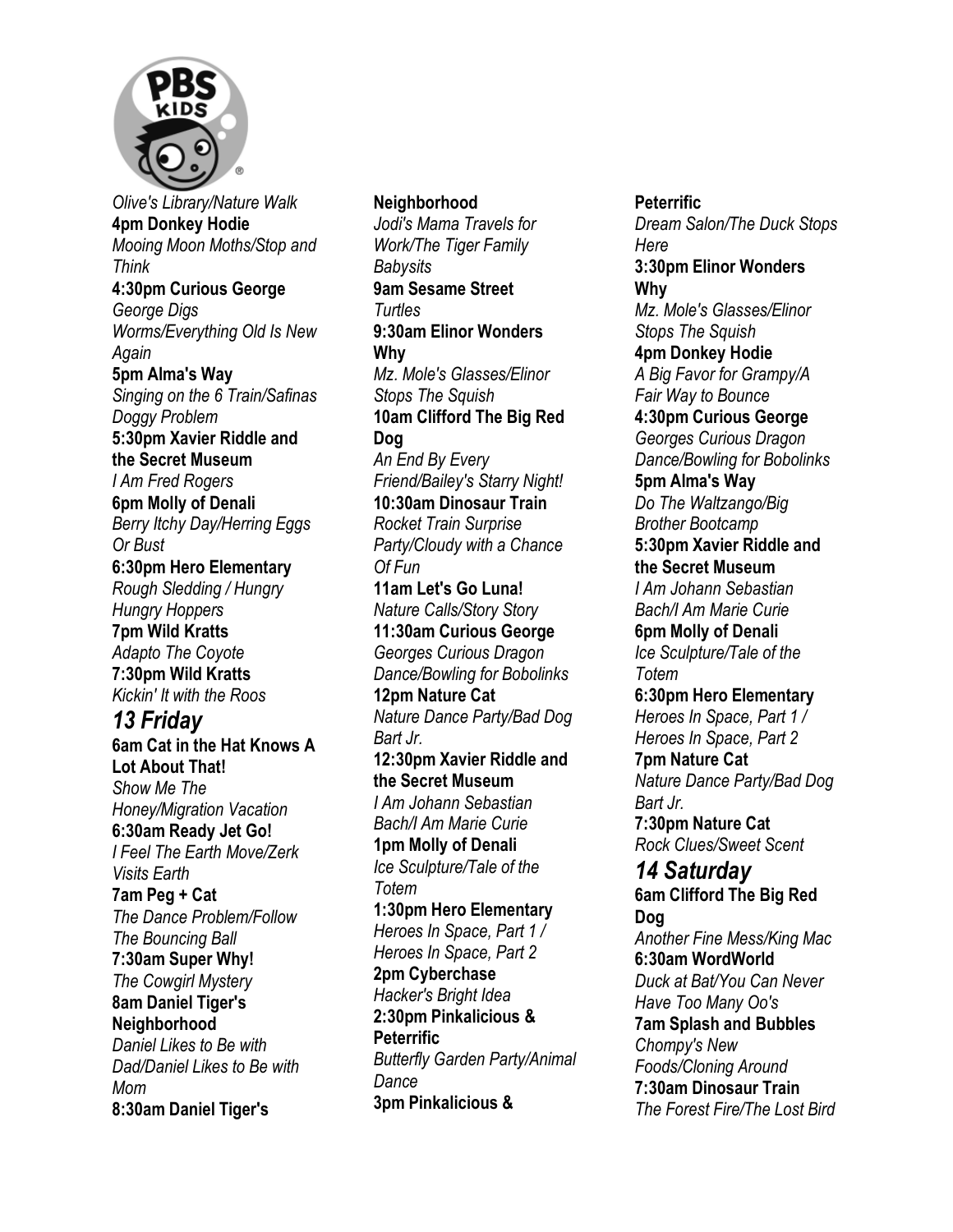

*Olive's Library/Nature Walk*  **4pm Donkey Hodie**  *Mooing Moon Moths/Stop and Think*  **4:30pm Curious George**  *George Digs Worms/Everything Old Is New Again*  **5pm Alma's Way**  *Singing on the 6 Train/Safinas Doggy Problem*  **5:30pm Xavier Riddle and the Secret Museum**  *I Am Fred Rogers*  **6pm Molly of Denali**  *Berry Itchy Day/Herring Eggs Or Bust*  **6:30pm Hero Elementary**  *Rough Sledding / Hungry Hungry Hoppers*  **7pm Wild Kratts**  *Adapto The Coyote*  **7:30pm Wild Kratts**  *Kickin' It with the Roos 13 Friday*  **6am Cat in the Hat Knows A Lot About That!**  *Show Me The Honey/Migration Vacation*  **6:30am Ready Jet Go!**  *I Feel The Earth Move/Zerk Visits Earth*  **7am Peg + Cat**  *The Dance Problem/Follow The Bouncing Ball*  **7:30am Super Why!**  *The Cowgirl Mystery*  **8am Daniel Tiger's Neighborhood**  *Daniel Likes to Be with Dad/Daniel Likes to Be with Mom*  **8:30am Daniel Tiger's** 

## **Neighborhood**  *Jodi's Mama Travels for Work/The Tiger Family Babysits*  **9am Sesame Street**  *Turtles*  **9:30am Elinor Wonders Why**  *Mz. Mole's Glasses/Elinor Stops The Squish*  **10am Clifford The Big Red Dog**  *An End By Every Friend/Bailey's Starry Night!*  **10:30am Dinosaur Train**  *Rocket Train Surprise Party/Cloudy with a Chance Of Fun*  **11am Let's Go Luna!**  *Nature Calls/Story Story*  **11:30am Curious George**  *Georges Curious Dragon Dance/Bowling for Bobolinks*  **12pm Nature Cat**  *Nature Dance Party/Bad Dog Bart Jr.*  **12:30pm Xavier Riddle and the Secret Museum**  *I Am Johann Sebastian Bach/I Am Marie Curie*  **1pm Molly of Denali**  *Ice Sculpture/Tale of the Totem*  **1:30pm Hero Elementary**  *Heroes In Space, Part 1 / Heroes In Space, Part 2*  **2pm Cyberchase**  *Hacker's Bright Idea*  **2:30pm Pinkalicious & Peterrific**  *Butterfly Garden Party/Animal Dance*  **3pm Pinkalicious &**

*Dream Salon/The Duck Stops Here*  **3:30pm Elinor Wonders Why**  *Mz. Mole's Glasses/Elinor Stops The Squish*  **4pm Donkey Hodie**  *A Big Favor for Grampy/A Fair Way to Bounce*  **4:30pm Curious George**  *Georges Curious Dragon Dance/Bowling for Bobolinks*  **5pm Alma's Way**  *Do The Waltzango/Big Brother Bootcamp*  **5:30pm Xavier Riddle and the Secret Museum**  *I Am Johann Sebastian Bach/I Am Marie Curie*  **6pm Molly of Denali**  *Ice Sculpture/Tale of the Totem*  **6:30pm Hero Elementary**  *Heroes In Space, Part 1 / Heroes In Space, Part 2*  **7pm Nature Cat**  *Nature Dance Party/Bad Dog Bart Jr.*  **7:30pm Nature Cat**  *Rock Clues/Sweet Scent 14 Saturday*  **6am Clifford The Big Red Dog**  *Another Fine Mess/King Mac*  **6:30am WordWorld**  *Duck at Bat/You Can Never Have Too Many Oo's*  **7am Splash and Bubbles**  *Chompy's New Foods/Cloning Around*  **7:30am Dinosaur Train**  *The Forest Fire/The Lost Bird* 

**Peterrific**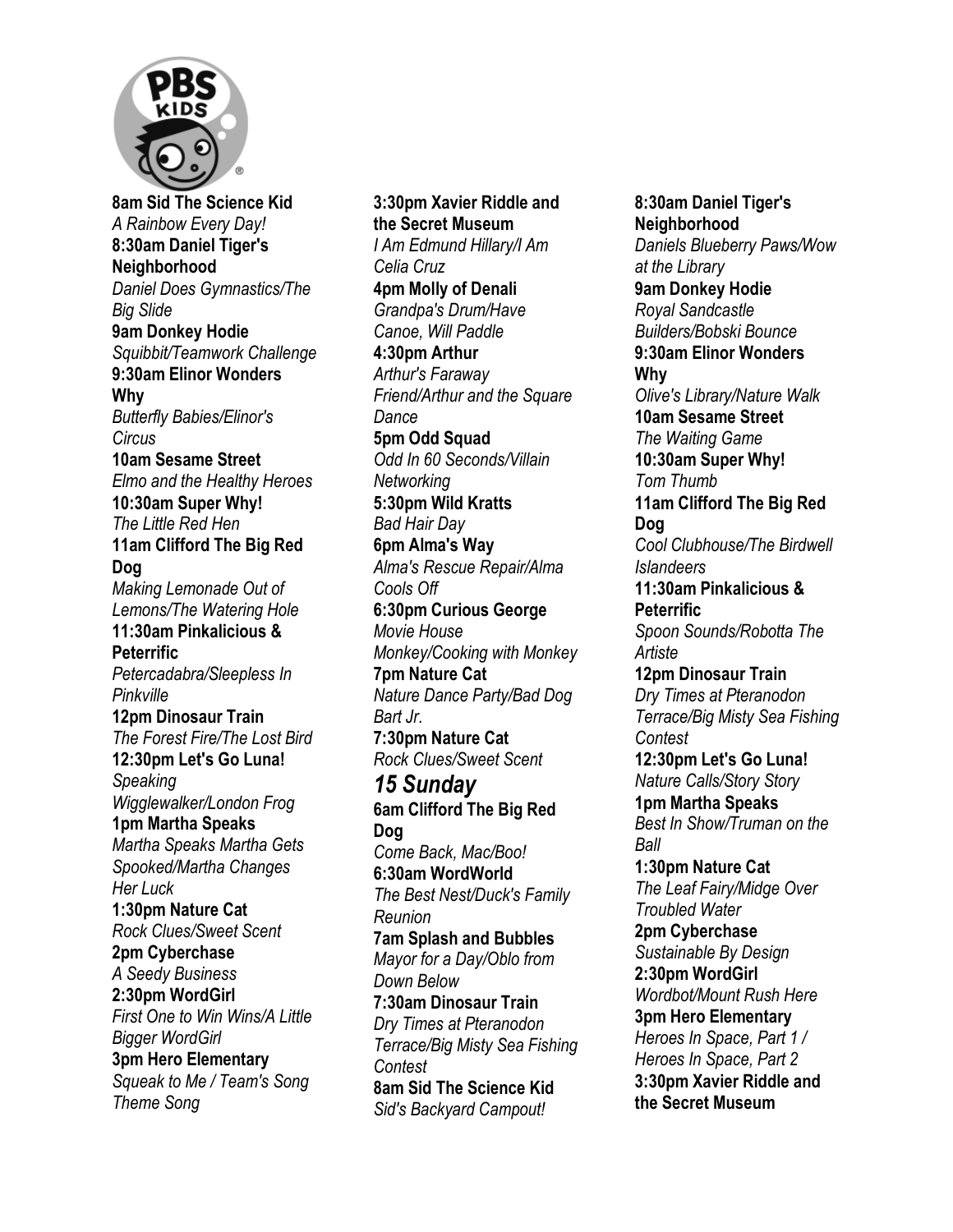

**8am Sid The Science Kid**  *A Rainbow Every Day!*  **8:30am Daniel Tiger's Neighborhood**  *Daniel Does Gymnastics/The Big Slide*  **9am Donkey Hodie**  *Squibbit/Teamwork Challenge*  **9:30am Elinor Wonders Why**  *Butterfly Babies/Elinor's Circus*  **10am Sesame Street**  *Elmo and the Healthy Heroes*  **10:30am Super Why!**  *The Little Red Hen*  **11am Clifford The Big Red Dog**  *Making Lemonade Out of Lemons/The Watering Hole*  **11:30am Pinkalicious & Peterrific**  *Petercadabra/Sleepless In Pinkville*  **12pm Dinosaur Train**  *The Forest Fire/The Lost Bird*  **12:30pm Let's Go Luna!**  *Speaking Wigglewalker/London Frog*  **1pm Martha Speaks**  *Martha Speaks Martha Gets Spooked/Martha Changes Her Luck*  **1:30pm Nature Cat**  *Rock Clues/Sweet Scent*  **2pm Cyberchase**  *A Seedy Business*  **2:30pm WordGirl**  *First One to Win Wins/A Little Bigger WordGirl*  **3pm Hero Elementary**  *Squeak to Me / Team's Song Theme Song* 

**3:30pm Xavier Riddle and the Secret Museum**  *I Am Edmund Hillary/I Am Celia Cruz*  **4pm Molly of Denali**  *Grandpa's Drum/Have Canoe, Will Paddle*  **4:30pm Arthur**  *Arthur's Faraway Friend/Arthur and the Square Dance*  **5pm Odd Squad**  *Odd In 60 Seconds/Villain Networking*  **5:30pm Wild Kratts**  *Bad Hair Day*  **6pm Alma's Way**  *Alma's Rescue Repair/Alma Cools Off*  **6:30pm Curious George**  *Movie House Monkey/Cooking with Monkey*  **7pm Nature Cat**  *Nature Dance Party/Bad Dog Bart Jr.*  **7:30pm Nature Cat**  *Rock Clues/Sweet Scent 15 Sunday*  **6am Clifford The Big Red Dog**  *Come Back, Mac/Boo!*  **6:30am WordWorld**  *The Best Nest/Duck's Family Reunion*  **7am Splash and Bubbles**  *Mayor for a Day/Oblo from Down Below*  **7:30am Dinosaur Train**  *Dry Times at Pteranodon Terrace/Big Misty Sea Fishing Contest*  **8am Sid The Science Kid**  *Sid's Backyard Campout!* 

**8:30am Daniel Tiger's Neighborhood**  *Daniels Blueberry Paws/Wow at the Library*  **9am Donkey Hodie**  *Royal Sandcastle Builders/Bobski Bounce*  **9:30am Elinor Wonders Why**  *Olive's Library/Nature Walk*  **10am Sesame Street**  *The Waiting Game*  **10:30am Super Why!**  *Tom Thumb*  **11am Clifford The Big Red Dog**  *Cool Clubhouse/The Birdwell Islandeers*  **11:30am Pinkalicious & Peterrific**  *Spoon Sounds/Robotta The Artiste*  **12pm Dinosaur Train**  *Dry Times at Pteranodon Terrace/Big Misty Sea Fishing Contest*  **12:30pm Let's Go Luna!**  *Nature Calls/Story Story*  **1pm Martha Speaks**  *Best In Show/Truman on the Ball*  **1:30pm Nature Cat**  *The Leaf Fairy/Midge Over Troubled Water*  **2pm Cyberchase**  *Sustainable By Design*  **2:30pm WordGirl**  *Wordbot/Mount Rush Here*  **3pm Hero Elementary**  *Heroes In Space, Part 1 / Heroes In Space, Part 2*  **3:30pm Xavier Riddle and the Secret Museum**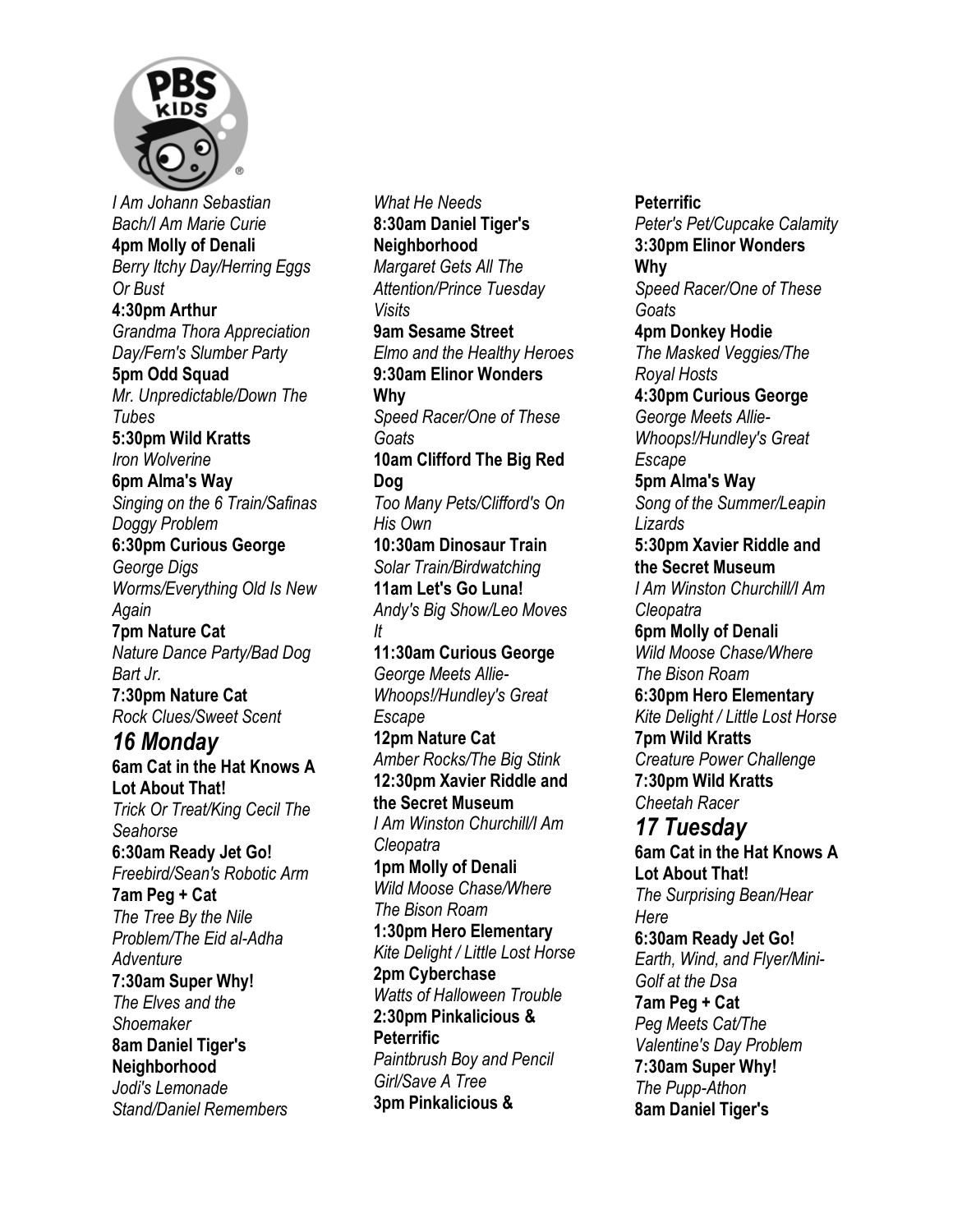

*I Am Johann Sebastian Bach/I Am Marie Curie*  **4pm Molly of Denali**  *Berry Itchy Day/Herring Eggs Or Bust*  **4:30pm Arthur**  *Grandma Thora Appreciation Day/Fern's Slumber Party*  **5pm Odd Squad**  *Mr. Unpredictable/Down The Tubes*  **5:30pm Wild Kratts**  *Iron Wolverine*  **6pm Alma's Way**  *Singing on the 6 Train/Safinas Doggy Problem*  **6:30pm Curious George**  *George Digs Worms/Everything Old Is New Again*  **7pm Nature Cat**  *Nature Dance Party/Bad Dog Bart Jr.*  **7:30pm Nature Cat**  *Rock Clues/Sweet Scent 16 Monday*  **6am Cat in the Hat Knows A Lot About That!**  *Trick Or Treat/King Cecil The Seahorse*  **6:30am Ready Jet Go!**  *Freebird/Sean's Robotic Arm*  **7am Peg + Cat**  *The Tree By the Nile Problem/The Eid al-Adha Adventure*  **7:30am Super Why!**  *The Elves and the Shoemaker*  **8am Daniel Tiger's Neighborhood**  *Jodi's Lemonade Stand/Daniel Remembers* 

*What He Needs*  **8:30am Daniel Tiger's Neighborhood**  *Margaret Gets All The Attention/Prince Tuesday Visits*  **9am Sesame Street**  *Elmo and the Healthy Heroes*  **9:30am Elinor Wonders Why**  *Speed Racer/One of These Goats*  **10am Clifford The Big Red Dog**  *Too Many Pets/Clifford's On His Own*  **10:30am Dinosaur Train**  *Solar Train/Birdwatching*  **11am Let's Go Luna!**  *Andy's Big Show/Leo Moves It*  **11:30am Curious George**  *George Meets Allie-Whoops!/Hundley's Great Escape*  **12pm Nature Cat**  *Amber Rocks/The Big Stink*  **12:30pm Xavier Riddle and the Secret Museum**  *I Am Winston Churchill/I Am Cleopatra*  **1pm Molly of Denali**  *Wild Moose Chase/Where The Bison Roam*  **1:30pm Hero Elementary**  *Kite Delight / Little Lost Horse*  **2pm Cyberchase**  *Watts of Halloween Trouble*  **2:30pm Pinkalicious & Peterrific**  *Paintbrush Boy and Pencil Girl/Save A Tree*  **3pm Pinkalicious &** 

**Peterrific**  *Peter's Pet/Cupcake Calamity*  **3:30pm Elinor Wonders Why**  *Speed Racer/One of These Goats*  **4pm Donkey Hodie**  *The Masked Veggies/The Royal Hosts*  **4:30pm Curious George**  *George Meets Allie-Whoops!/Hundley's Great Escape*  **5pm Alma's Way**  *Song of the Summer/Leapin Lizards*  **5:30pm Xavier Riddle and the Secret Museum**  *I Am Winston Churchill/I Am Cleopatra*  **6pm Molly of Denali**  *Wild Moose Chase/Where The Bison Roam*  **6:30pm Hero Elementary**  *Kite Delight / Little Lost Horse*  **7pm Wild Kratts**  *Creature Power Challenge*  **7:30pm Wild Kratts**  *Cheetah Racer 17 Tuesday*  **6am Cat in the Hat Knows A Lot About That!**  *The Surprising Bean/Hear Here*  **6:30am Ready Jet Go!**  *Earth, Wind, and Flyer/Mini-Golf at the Dsa*  **7am Peg + Cat**  *Peg Meets Cat/The Valentine's Day Problem*  **7:30am Super Why!**  *The Pupp-Athon*  **8am Daniel Tiger's**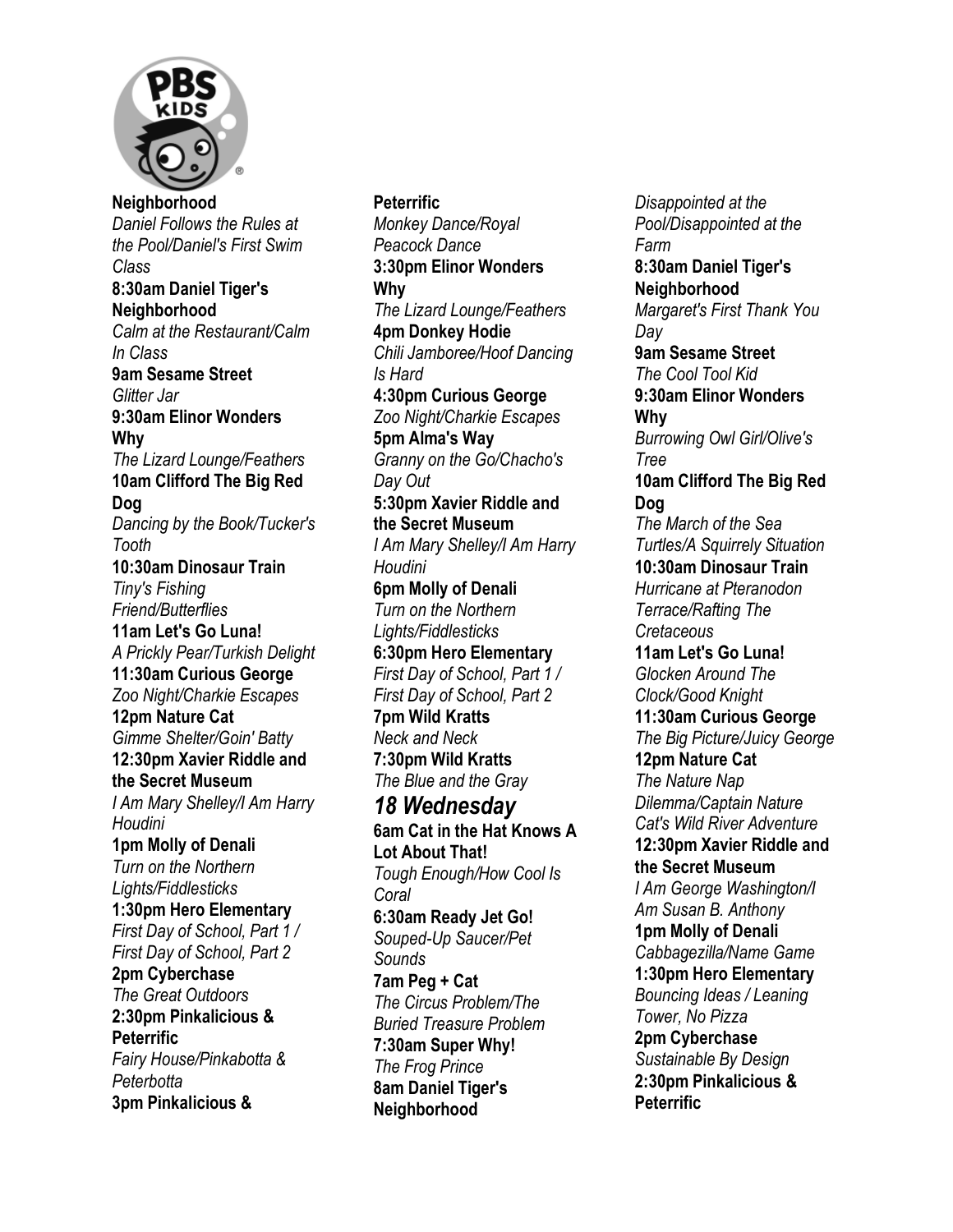

**Neighborhood**  *Daniel Follows the Rules at the Pool/Daniel's First Swim Class*  **8:30am Daniel Tiger's Neighborhood**  *Calm at the Restaurant/Calm In Class*  **9am Sesame Street**  *Glitter Jar*  **9:30am Elinor Wonders Why**  *The Lizard Lounge/Feathers*  **10am Clifford The Big Red Dog**  *Dancing by the Book/Tucker's Tooth*  **10:30am Dinosaur Train**  *Tiny's Fishing Friend/Butterflies*  **11am Let's Go Luna!**  *A Prickly Pear/Turkish Delight*  **11:30am Curious George**  *Zoo Night/Charkie Escapes*  **12pm Nature Cat**  *Gimme Shelter/Goin' Batty*  **12:30pm Xavier Riddle and the Secret Museum**  *I Am Mary Shelley/I Am Harry Houdini*  **1pm Molly of Denali**  *Turn on the Northern Lights/Fiddlesticks*  **1:30pm Hero Elementary**  *First Day of School, Part 1 / First Day of School, Part 2*  **2pm Cyberchase**  *The Great Outdoors*  **2:30pm Pinkalicious & Peterrific**  *Fairy House/Pinkabotta & Peterbotta*  **3pm Pinkalicious &** 

**Peterrific**  *Monkey Dance/Royal Peacock Dance*  **3:30pm Elinor Wonders Why**  *The Lizard Lounge/Feathers*  **4pm Donkey Hodie**  *Chili Jamboree/Hoof Dancing Is Hard*  **4:30pm Curious George**  *Zoo Night/Charkie Escapes*  **5pm Alma's Way**  *Granny on the Go/Chacho's Day Out*  **5:30pm Xavier Riddle and the Secret Museum**  *I Am Mary Shelley/I Am Harry Houdini*  **6pm Molly of Denali**  *Turn on the Northern Lights/Fiddlesticks*  **6:30pm Hero Elementary**  *First Day of School, Part 1 / First Day of School, Part 2*  **7pm Wild Kratts**  *Neck and Neck*  **7:30pm Wild Kratts**  *The Blue and the Gray 18 Wednesday*  **6am Cat in the Hat Knows A Lot About That!**  *Tough Enough/How Cool Is Coral*  **6:30am Ready Jet Go!**  *Souped-Up Saucer/Pet Sounds*  **7am Peg + Cat**  *The Circus Problem/The Buried Treasure Problem*  **7:30am Super Why!**  *The Frog Prince*  **8am Daniel Tiger's Neighborhood** 

*Disappointed at the Pool/Disappointed at the Farm*  **8:30am Daniel Tiger's Neighborhood**  *Margaret's First Thank You Day*  **9am Sesame Street**  *The Cool Tool Kid*  **9:30am Elinor Wonders Why**  *Burrowing Owl Girl/Olive's Tree*  **10am Clifford The Big Red Dog**  *The March of the Sea Turtles/A Squirrely Situation*  **10:30am Dinosaur Train**  *Hurricane at Pteranodon Terrace/Rafting The Cretaceous*  **11am Let's Go Luna!**  *Glocken Around The Clock/Good Knight*  **11:30am Curious George**  *The Big Picture/Juicy George*  **12pm Nature Cat**  *The Nature Nap Dilemma/Captain Nature Cat's Wild River Adventure*  **12:30pm Xavier Riddle and the Secret Museum**  *I Am George Washington/I Am Susan B. Anthony*  **1pm Molly of Denali**  *Cabbagezilla/Name Game*  **1:30pm Hero Elementary**  *Bouncing Ideas / Leaning Tower, No Pizza*  **2pm Cyberchase**  *Sustainable By Design*  **2:30pm Pinkalicious & Peterrific**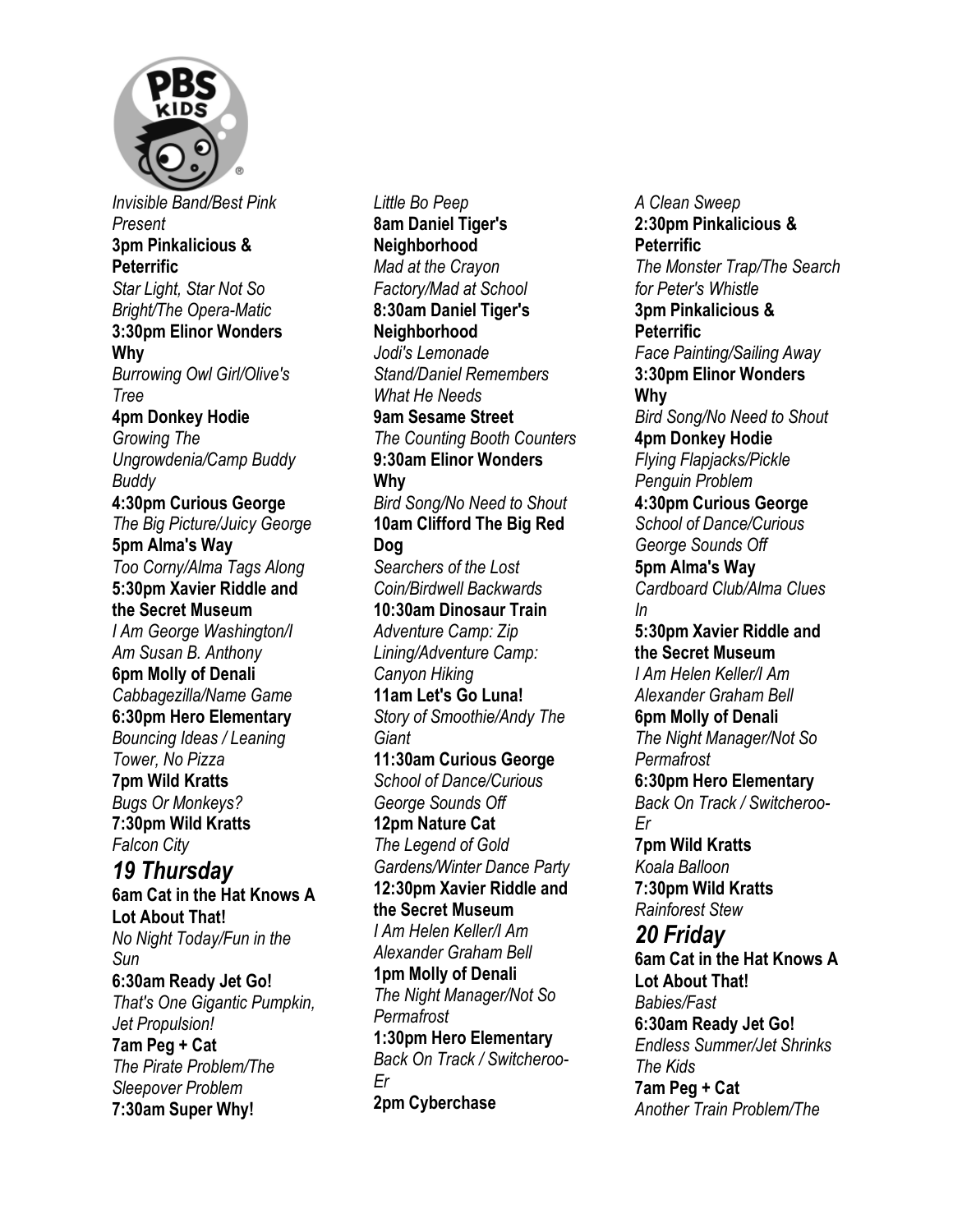

*Invisible Band/Best Pink Present*  **3pm Pinkalicious & Peterrific**  *Star Light, Star Not So Bright/The Opera-Matic*  **3:30pm Elinor Wonders Why**  *Burrowing Owl Girl/Olive's Tree*  **4pm Donkey Hodie**  *Growing The Ungrowdenia/Camp Buddy Buddy*  **4:30pm Curious George**  *The Big Picture/Juicy George*  **5pm Alma's Way**  *Too Corny/Alma Tags Along*  **5:30pm Xavier Riddle and the Secret Museum**  *I Am George Washington/I Am Susan B. Anthony*  **6pm Molly of Denali**  *Cabbagezilla/Name Game*  **6:30pm Hero Elementary**  *Bouncing Ideas / Leaning Tower, No Pizza*  **7pm Wild Kratts**  *Bugs Or Monkeys?*  **7:30pm Wild Kratts**  *Falcon City 19 Thursday*  **6am Cat in the Hat Knows A Lot About That!**  *No Night Today/Fun in the Sun*  **6:30am Ready Jet Go!**  *That's One Gigantic Pumpkin, Jet Propulsion!*  **7am Peg + Cat** 

*The Pirate Problem/The Sleepover Problem*  **7:30am Super Why!** 

*Little Bo Peep*  **8am Daniel Tiger's Neighborhood**  *Mad at the Crayon Factory/Mad at School*  **8:30am Daniel Tiger's Neighborhood**  *Jodi's Lemonade Stand/Daniel Remembers What He Needs*  **9am Sesame Street**  *The Counting Booth Counters*  **9:30am Elinor Wonders Why**  *Bird Song/No Need to Shout*  **10am Clifford The Big Red Dog**  *Searchers of the Lost Coin/Birdwell Backwards*  **10:30am Dinosaur Train**  *Adventure Camp: Zip Lining/Adventure Camp: Canyon Hiking*  **11am Let's Go Luna!**  *Story of Smoothie/Andy The Giant*  **11:30am Curious George**  *School of Dance/Curious George Sounds Off*  **12pm Nature Cat**  *The Legend of Gold Gardens/Winter Dance Party*  **12:30pm Xavier Riddle and the Secret Museum**  *I Am Helen Keller/I Am Alexander Graham Bell*  **1pm Molly of Denali**  *The Night Manager/Not So Permafrost*  **1:30pm Hero Elementary**  *Back On Track / Switcheroo-Er*  **2pm Cyberchase** 

*A Clean Sweep*  **2:30pm Pinkalicious & Peterrific**  *The Monster Trap/The Search for Peter's Whistle*  **3pm Pinkalicious & Peterrific**  *Face Painting/Sailing Away*  **3:30pm Elinor Wonders Why**  *Bird Song/No Need to Shout*  **4pm Donkey Hodie**  *Flying Flapjacks/Pickle Penguin Problem*  **4:30pm Curious George**  *School of Dance/Curious George Sounds Off*  **5pm Alma's Way**  *Cardboard Club/Alma Clues In*  **5:30pm Xavier Riddle and the Secret Museum**  *I Am Helen Keller/I Am Alexander Graham Bell*  **6pm Molly of Denali**  *The Night Manager/Not So Permafrost*  **6:30pm Hero Elementary**  *Back On Track / Switcheroo-Er*  **7pm Wild Kratts**  *Koala Balloon*  **7:30pm Wild Kratts**  *Rainforest Stew 20 Friday*  **6am Cat in the Hat Knows A Lot About That!**  *Babies/Fast*  **6:30am Ready Jet Go!**  *Endless Summer/Jet Shrinks The Kids*  **7am Peg + Cat**  *Another Train Problem/The*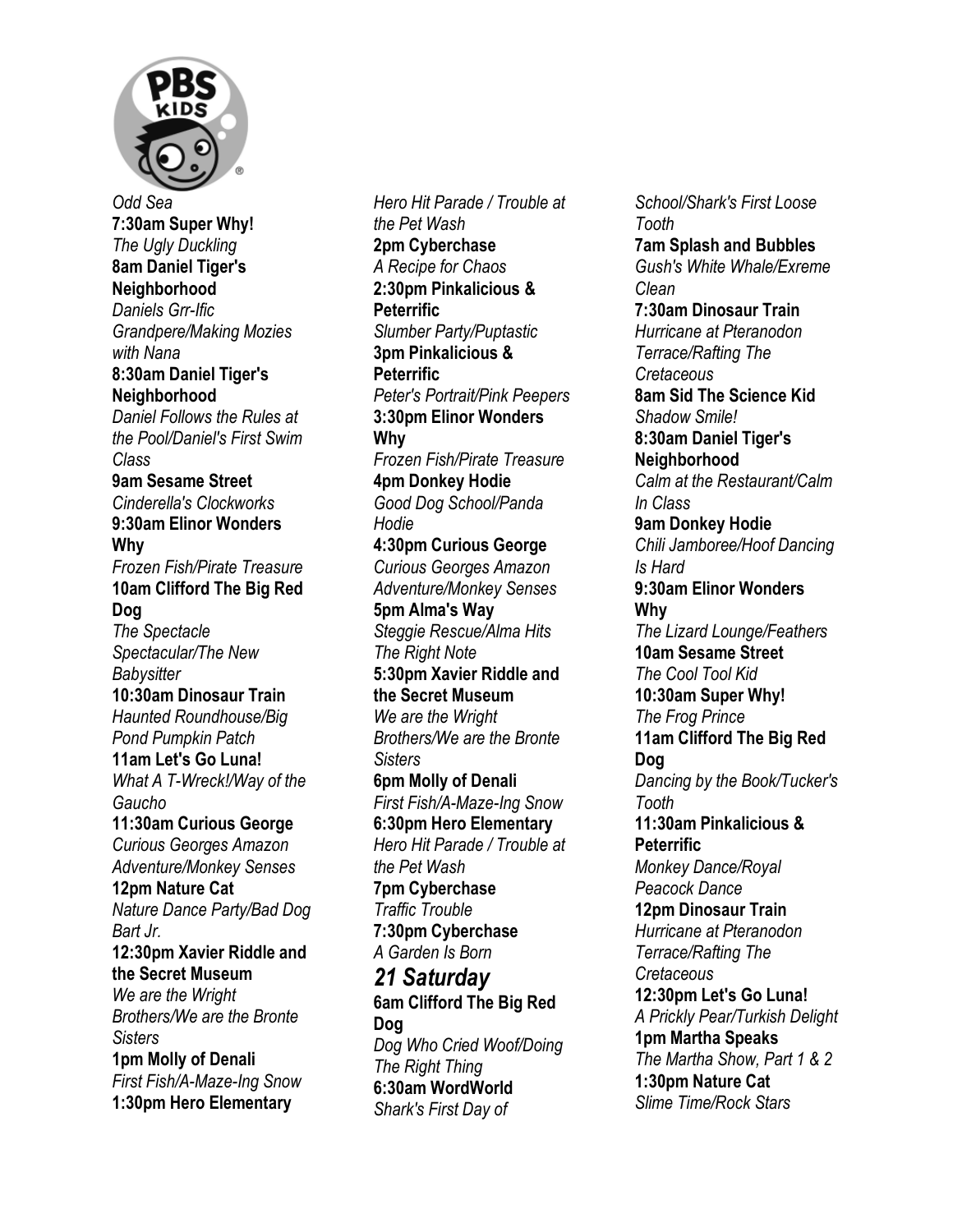

*Odd Sea*  **7:30am Super Why!**  *The Ugly Duckling*  **8am Daniel Tiger's Neighborhood**  *Daniels Grr-Ific Grandpere/Making Mozies with Nana*  **8:30am Daniel Tiger's Neighborhood**  *Daniel Follows the Rules at the Pool/Daniel's First Swim Class*  **9am Sesame Street**  *Cinderella's Clockworks*  **9:30am Elinor Wonders Why**  *Frozen Fish/Pirate Treasure*  **10am Clifford The Big Red Dog**  *The Spectacle Spectacular/The New Babysitter*  **10:30am Dinosaur Train**  *Haunted Roundhouse/Big Pond Pumpkin Patch*  **11am Let's Go Luna!**  *What A T-Wreck!/Way of the Gaucho*  **11:30am Curious George**  *Curious Georges Amazon Adventure/Monkey Senses*  **12pm Nature Cat**  *Nature Dance Party/Bad Dog Bart Jr.*  **12:30pm Xavier Riddle and the Secret Museum**  *We are the Wright Brothers/We are the Bronte Sisters*  **1pm Molly of Denali**  *First Fish/A-Maze-Ing Snow*  **1:30pm Hero Elementary** 

*Hero Hit Parade / Trouble at the Pet Wash*  **2pm Cyberchase**  *A Recipe for Chaos*  **2:30pm Pinkalicious & Peterrific**  *Slumber Party/Puptastic*  **3pm Pinkalicious & Peterrific**  *Peter's Portrait/Pink Peepers*  **3:30pm Elinor Wonders Why**  *Frozen Fish/Pirate Treasure*  **4pm Donkey Hodie**  *Good Dog School/Panda Hodie*  **4:30pm Curious George**  *Curious Georges Amazon Adventure/Monkey Senses*  **5pm Alma's Way**  *Steggie Rescue/Alma Hits The Right Note*  **5:30pm Xavier Riddle and the Secret Museum**  *We are the Wright Brothers/We are the Bronte Sisters*  **6pm Molly of Denali**  *First Fish/A-Maze-Ing Snow*  **6:30pm Hero Elementary**  *Hero Hit Parade / Trouble at the Pet Wash* **7pm Cyberchase**  *Traffic Trouble*  **7:30pm Cyberchase**  *A Garden Is Born 21 Saturday*  **6am Clifford The Big Red Dog**  *Dog Who Cried Woof/Doing The Right Thing*  **6:30am WordWorld** 

*Shark's First Day of* 

*Gush's White Whale/Exreme Clean*  **7:30am Dinosaur Train**  *Hurricane at Pteranodon Terrace/Rafting The Cretaceous*  **8am Sid The Science Kid**  *Shadow Smile!*  **8:30am Daniel Tiger's Neighborhood**  *Calm at the Restaurant/Calm In Class*  **9am Donkey Hodie**  *Chili Jamboree/Hoof Dancing Is Hard*  **9:30am Elinor Wonders Why**  *The Lizard Lounge/Feathers*  **10am Sesame Street**  *The Cool Tool Kid*  **10:30am Super Why!**  *The Frog Prince*  **11am Clifford The Big Red Dog**  *Dancing by the Book/Tucker's Tooth*  **11:30am Pinkalicious & Peterrific**  *Monkey Dance/Royal Peacock Dance*  **12pm Dinosaur Train**  *Hurricane at Pteranodon Terrace/Rafting The Cretaceous*  **12:30pm Let's Go Luna!** *A Prickly Pear/Turkish Delight*  **1pm Martha Speaks**  *The Martha Show, Part 1 & 2*  **1:30pm Nature Cat**  *Slime Time/Rock Stars* 

*School/Shark's First Loose* 

**7am Splash and Bubbles** 

*Tooth*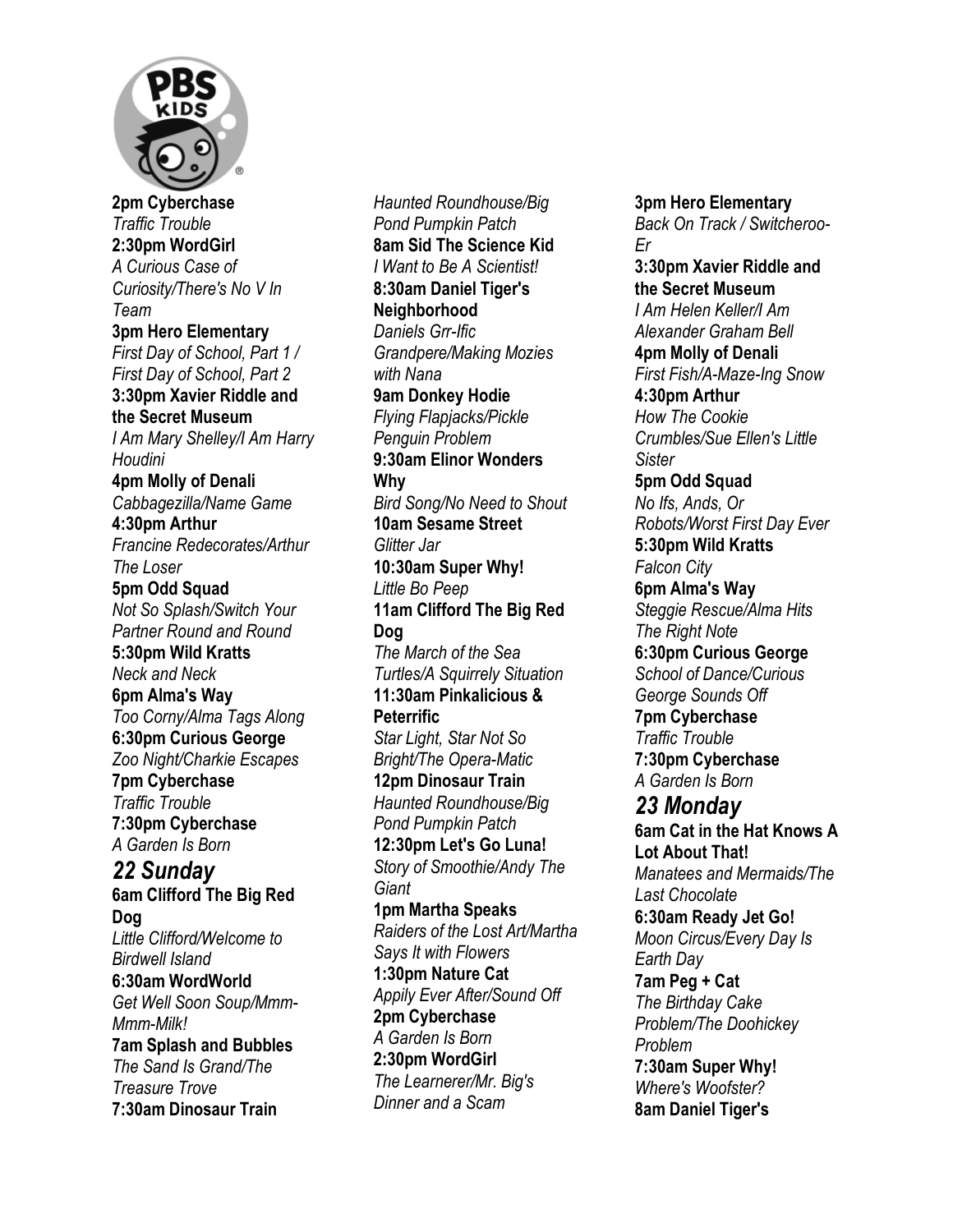

**2pm Cyberchase**  *Traffic Trouble*  **2:30pm WordGirl**  *A Curious Case of Curiosity/There's No V In Team*  **3pm Hero Elementary**  *First Day of School, Part 1 / First Day of School, Part 2*  **3:30pm Xavier Riddle and the Secret Museum**  *I Am Mary Shelley/I Am Harry Houdini*  **4pm Molly of Denali**  *Cabbagezilla/Name Game*  **4:30pm Arthur**  *Francine Redecorates/Arthur The Loser*  **5pm Odd Squad**  *Not So Splash/Switch Your Partner Round and Round*  **5:30pm Wild Kratts**  *Neck and Neck*  **6pm Alma's Way**  *Too Corny/Alma Tags Along*  **6:30pm Curious George**  *Zoo Night/Charkie Escapes*  **7pm Cyberchase**  *Traffic Trouble*  **7:30pm Cyberchase**  *A Garden Is Born 22 Sunday*  **6am Clifford The Big Red Dog**  *Little Clifford/Welcome to Birdwell Island*  **6:30am WordWorld**  *Get Well Soon Soup/Mmm-Mmm-Milk!*  **7am Splash and Bubbles**  *The Sand Is Grand/The Treasure Trove*  **7:30am Dinosaur Train** 

*Haunted Roundhouse/Big Pond Pumpkin Patch*  **8am Sid The Science Kid**  *I Want to Be A Scientist!*  **8:30am Daniel Tiger's Neighborhood**  *Daniels Grr-Ific Grandpere/Making Mozies with Nana*  **9am Donkey Hodie**  *Flying Flapjacks/Pickle Penguin Problem*  **9:30am Elinor Wonders Why**  *Bird Song/No Need to Shout*  **10am Sesame Street**  *Glitter Jar*  **10:30am Super Why!**  *Little Bo Peep*  **11am Clifford The Big Red Dog**  *The March of the Sea Turtles/A Squirrely Situation*  **11:30am Pinkalicious & Peterrific**  *Star Light, Star Not So Bright/The Opera-Matic*  **12pm Dinosaur Train**  *Haunted Roundhouse/Big Pond Pumpkin Patch*  **12:30pm Let's Go Luna!**  *Story of Smoothie/Andy The Giant*  **1pm Martha Speaks**  *Raiders of the Lost Art/Martha Says It with Flowers*  **1:30pm Nature Cat**  *Appily Ever After/Sound Off*  **2pm Cyberchase**  *A Garden Is Born*  **2:30pm WordGirl**  *The Learnerer/Mr. Big's Dinner and a Scam* 

**3pm Hero Elementary**  *Back On Track / Switcheroo-Er*  **3:30pm Xavier Riddle and the Secret Museum**  *I Am Helen Keller/I Am Alexander Graham Bell*  **4pm Molly of Denali**  *First Fish/A-Maze-Ing Snow*  **4:30pm Arthur**  *How The Cookie Crumbles/Sue Ellen's Little Sister*  **5pm Odd Squad**  *No Ifs, Ands, Or Robots/Worst First Day Ever*  **5:30pm Wild Kratts**  *Falcon City*  **6pm Alma's Way**  *Steggie Rescue/Alma Hits The Right Note*  **6:30pm Curious George**  *School of Dance/Curious George Sounds Off*  **7pm Cyberchase**  *Traffic Trouble*  **7:30pm Cyberchase**  *A Garden Is Born 23 Monday*  **6am Cat in the Hat Knows A Lot About That!**  *Manatees and Mermaids/The Last Chocolate*  **6:30am Ready Jet Go!**  *Moon Circus/Every Day Is Earth Day*  **7am Peg + Cat**  *The Birthday Cake Problem/The Doohickey Problem*  **7:30am Super Why!**  *Where's Woofster?*  **8am Daniel Tiger's**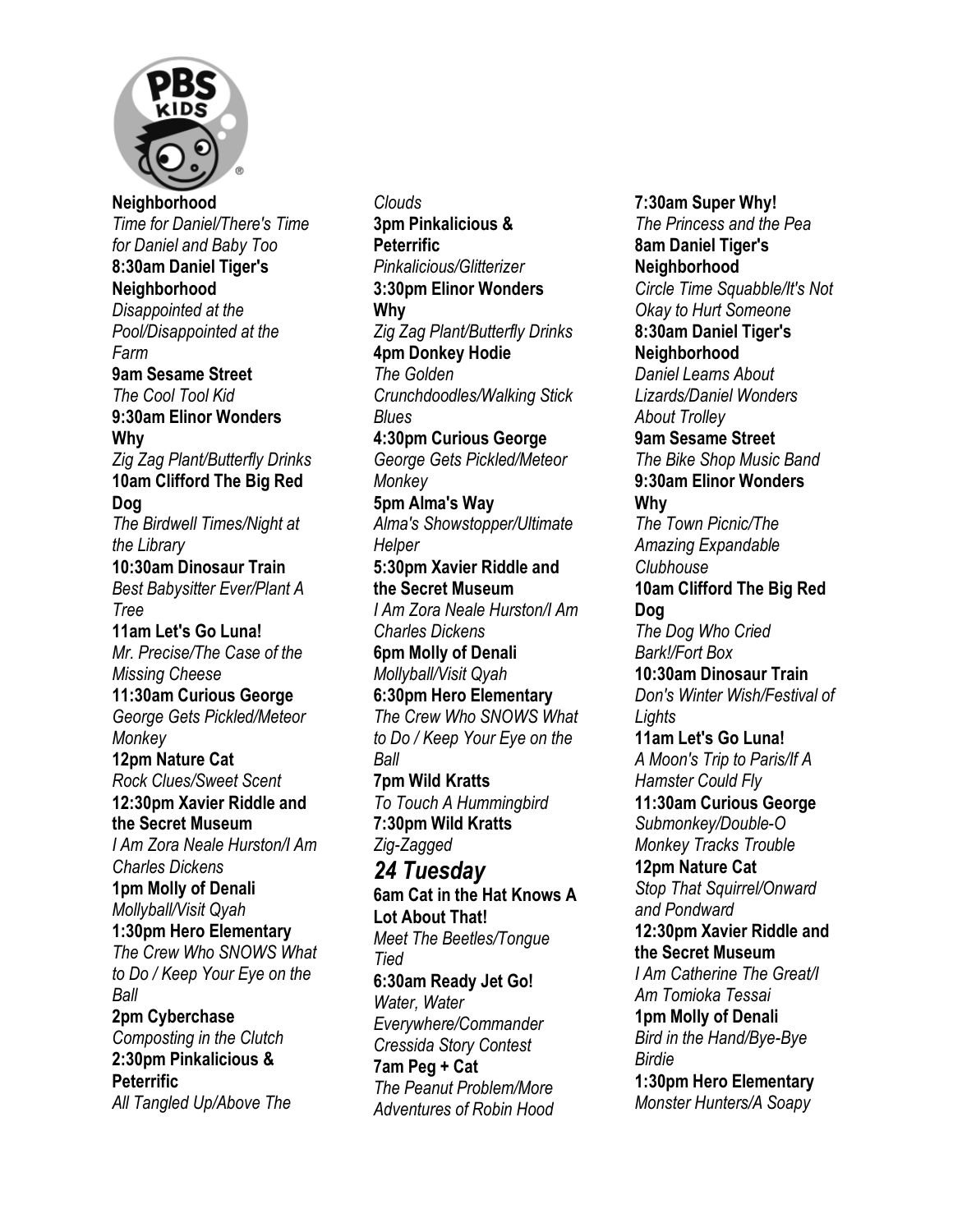

**Neighborhood**  *Time for Daniel/There's Time for Daniel and Baby Too*  **8:30am Daniel Tiger's Neighborhood**  *Disappointed at the Pool/Disappointed at the Farm*  **9am Sesame Street**  *The Cool Tool Kid*  **9:30am Elinor Wonders Why**  *Zig Zag Plant/Butterfly Drinks*  **10am Clifford The Big Red Dog**  *The Birdwell Times/Night at the Library*  **10:30am Dinosaur Train**  *Best Babysitter Ever/Plant A Tree*  **11am Let's Go Luna!**  *Mr. Precise/The Case of the Missing Cheese*  **11:30am Curious George**  *George Gets Pickled/Meteor Monkey*  **12pm Nature Cat**  *Rock Clues/Sweet Scent*  **12:30pm Xavier Riddle and the Secret Museum**  *I Am Zora Neale Hurston/I Am Charles Dickens*  **1pm Molly of Denali**  *Mollyball/Visit Qyah*  **1:30pm Hero Elementary**  *The Crew Who SNOWS What to Do / Keep Your Eye on the Ball*  **2pm Cyberchase**  *Composting in the Clutch*  **2:30pm Pinkalicious & Peterrific**  *All Tangled Up/Above The* 

*Clouds*  **3pm Pinkalicious & Peterrific**  *Pinkalicious/Glitterizer*  **3:30pm Elinor Wonders Why**  *Zig Zag Plant/Butterfly Drinks*  **4pm Donkey Hodie**  *The Golden Crunchdoodles/Walking Stick Blues*  **4:30pm Curious George**  *George Gets Pickled/Meteor Monkey*  **5pm Alma's Way**  *Alma's Showstopper/Ultimate Helper*  **5:30pm Xavier Riddle and the Secret Museum**  *I Am Zora Neale Hurston/I Am Charles Dickens*  **6pm Molly of Denali**  *Mollyball/Visit Qyah*  **6:30pm Hero Elementary**  *The Crew Who SNOWS What to Do / Keep Your Eye on the Ball*  **7pm Wild Kratts**  *To Touch A Hummingbird*  **7:30pm Wild Kratts**  *Zig-Zagged 24 Tuesday*  **6am Cat in the Hat Knows A Lot About That!**  *Meet The Beetles/Tongue Tied*  **6:30am Ready Jet Go!**  *Water, Water Everywhere/Commander Cressida Story Contest*  **7am Peg + Cat**  *The Peanut Problem/More Adventures of Robin Hood* 

**7:30am Super Why!**  *The Princess and the Pea*  **8am Daniel Tiger's Neighborhood**  *Circle Time Squabble/It's Not Okay to Hurt Someone*  **8:30am Daniel Tiger's Neighborhood**  *Daniel Learns About Lizards/Daniel Wonders About Trolley*  **9am Sesame Street**  *The Bike Shop Music Band*  **9:30am Elinor Wonders Why**  *The Town Picnic/The Amazing Expandable Clubhouse*  **10am Clifford The Big Red Dog**  *The Dog Who Cried Bark!/Fort Box*  **10:30am Dinosaur Train**  *Don's Winter Wish/Festival of Lights*  **11am Let's Go Luna!**  *A Moon's Trip to Paris/If A Hamster Could Fly*  **11:30am Curious George**  *Submonkey/Double-O Monkey Tracks Trouble*  **12pm Nature Cat**  *Stop That Squirrel/Onward and Pondward*  **12:30pm Xavier Riddle and the Secret Museum**  *I Am Catherine The Great/I Am Tomioka Tessai*  **1pm Molly of Denali**  *Bird in the Hand/Bye-Bye Birdie*  **1:30pm Hero Elementary**  *Monster Hunters/A Soapy*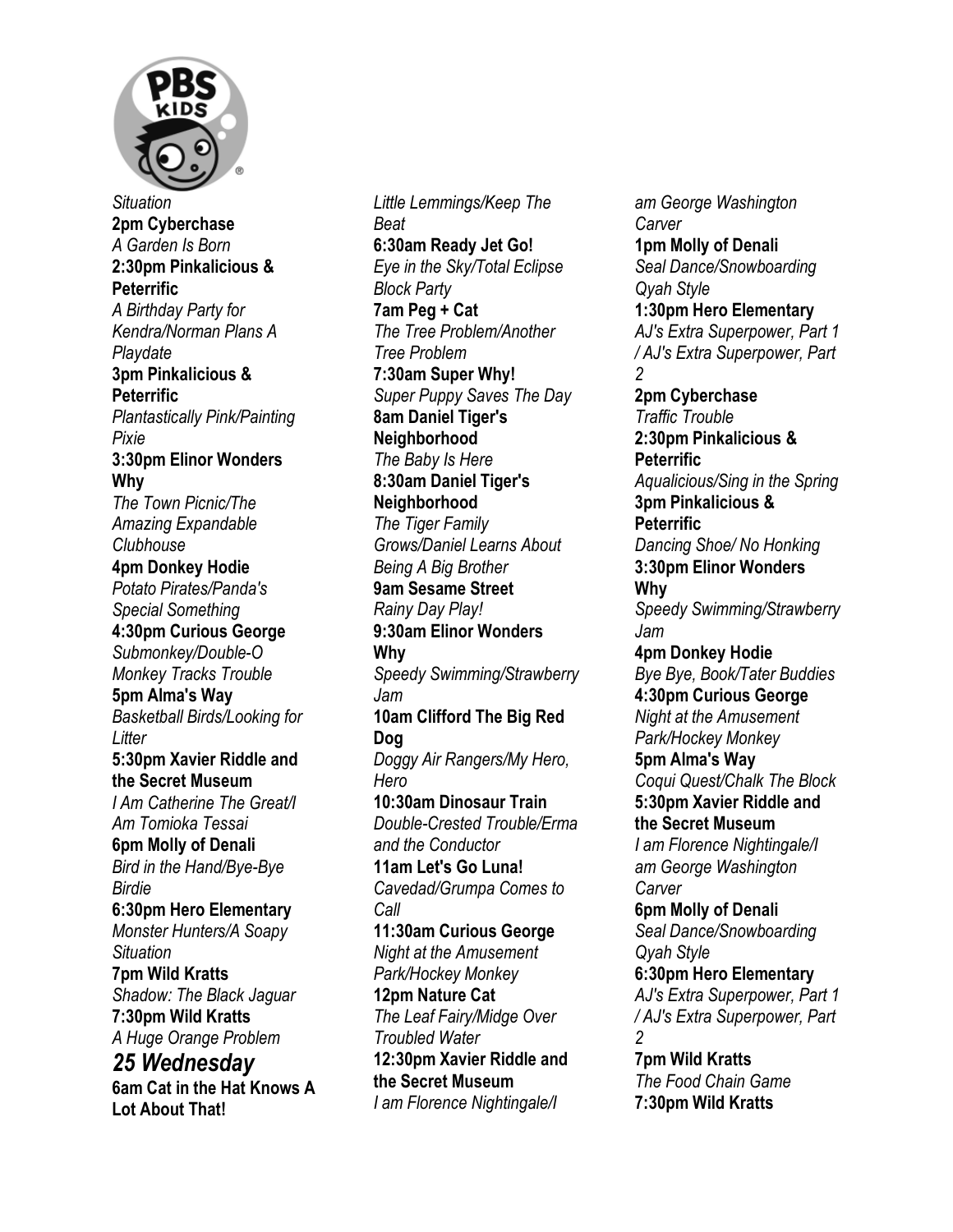

*Situation*  **2pm Cyberchase**  *A Garden Is Born*  **2:30pm Pinkalicious & Peterrific**  *A Birthday Party for Kendra/Norman Plans A Playdate*  **3pm Pinkalicious & Peterrific**  *Plantastically Pink/Painting Pixie*  **3:30pm Elinor Wonders Why**  *The Town Picnic/The Amazing Expandable Clubhouse*  **4pm Donkey Hodie**  *Potato Pirates/Panda's Special Something*  **4:30pm Curious George**  *Submonkey/Double-O Monkey Tracks Trouble*  **5pm Alma's Way**  *Basketball Birds/Looking for Litter*  **5:30pm Xavier Riddle and the Secret Museum**  *I Am Catherine The Great/I Am Tomioka Tessai*  **6pm Molly of Denali**  *Bird in the Hand/Bye-Bye Birdie*  **6:30pm Hero Elementary**  *Monster Hunters/A Soapy Situation*  **7pm Wild Kratts**  *Shadow: The Black Jaguar*  **7:30pm Wild Kratts**  *A Huge Orange Problem 25 Wednesday*  **6am Cat in the Hat Knows A Lot About That!** 

*Little Lemmings/Keep The Beat*  **6:30am Ready Jet Go!**  *Eye in the Sky/Total Eclipse Block Party*  **7am Peg + Cat**  *The Tree Problem/Another Tree Problem*  **7:30am Super Why!**  *Super Puppy Saves The Day*  **8am Daniel Tiger's Neighborhood**  *The Baby Is Here*  **8:30am Daniel Tiger's Neighborhood**  *The Tiger Family Grows/Daniel Learns About Being A Big Brother*  **9am Sesame Street**  *Rainy Day Play!*  **9:30am Elinor Wonders Why**  *Speedy Swimming/Strawberry Jam*  **10am Clifford The Big Red Dog**  *Doggy Air Rangers/My Hero, Hero*  **10:30am Dinosaur Train**  *Double-Crested Trouble/Erma and the Conductor*  **11am Let's Go Luna!**  *Cavedad/Grumpa Comes to Call*  **11:30am Curious George**  *Night at the Amusement Park/Hockey Monkey*  **12pm Nature Cat**  *The Leaf Fairy/Midge Over Troubled Water* **12:30pm Xavier Riddle and the Secret Museum**  *I am Florence Nightingale/I* 

*am George Washington Carver*  **1pm Molly of Denali**  *Seal Dance/Snowboarding Qyah Style*  **1:30pm Hero Elementary**  *AJ's Extra Superpower, Part 1 / AJ's Extra Superpower, Part 2*  **2pm Cyberchase**  *Traffic Trouble*  **2:30pm Pinkalicious & Peterrific**  *Aqualicious/Sing in the Spring*  **3pm Pinkalicious & Peterrific**  *Dancing Shoe/ No Honking*  **3:30pm Elinor Wonders Why**  *Speedy Swimming/Strawberry Jam*  **4pm Donkey Hodie**  *Bye Bye, Book/Tater Buddies*  **4:30pm Curious George**  *Night at the Amusement Park/Hockey Monkey*  **5pm Alma's Way**  *Coqui Quest/Chalk The Block*  **5:30pm Xavier Riddle and the Secret Museum**  *I am Florence Nightingale/I am George Washington Carver*  **6pm Molly of Denali**  *Seal Dance/Snowboarding Qyah Style*  **6:30pm Hero Elementary**  *AJ's Extra Superpower, Part 1 / AJ's Extra Superpower, Part 2*  **7pm Wild Kratts**  *The Food Chain Game*  **7:30pm Wild Kratts**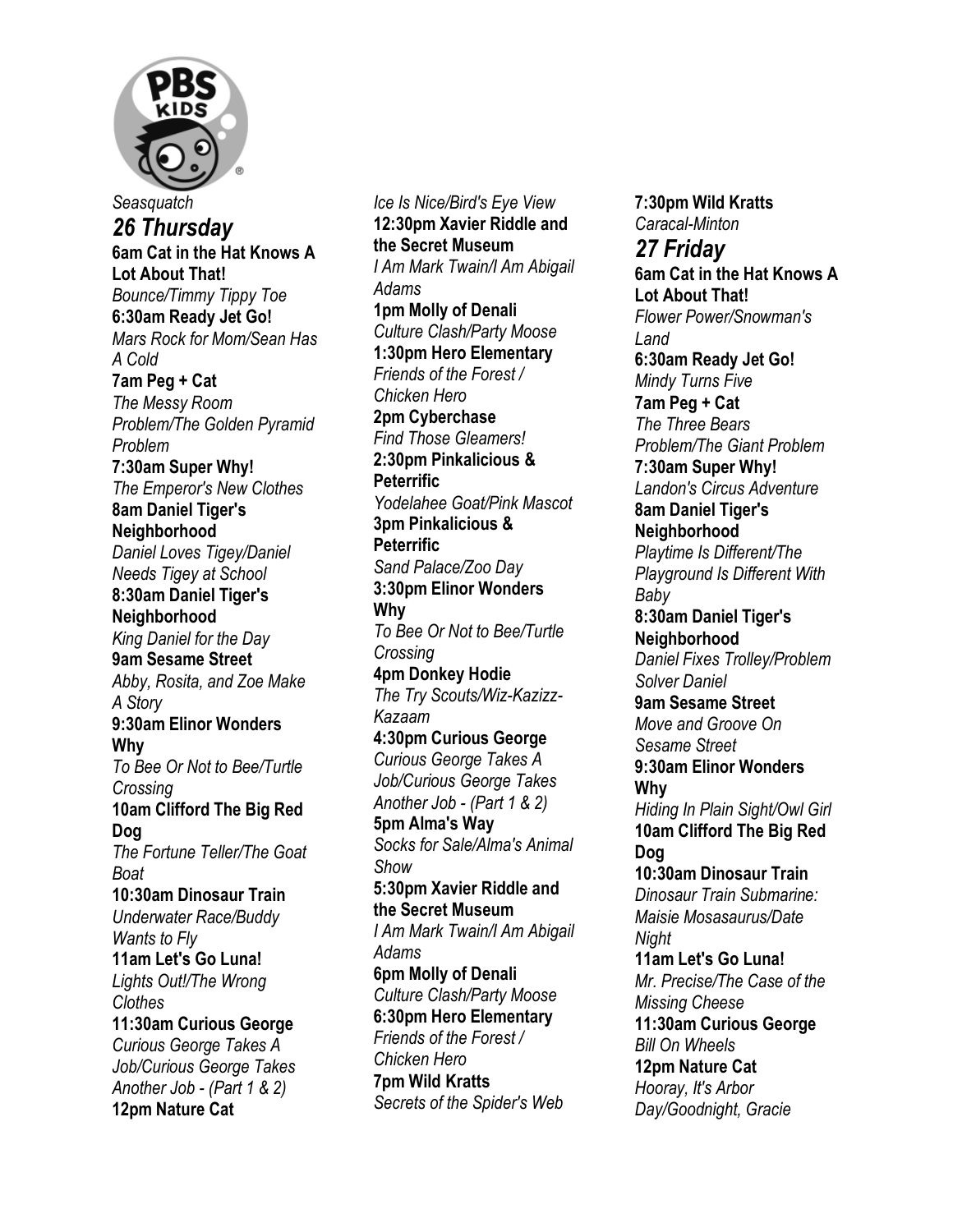

*26 Thursday*  **6am Cat in the Hat Knows A Lot About That!**  *Bounce/Timmy Tippy Toe*  **6:30am Ready Jet Go!**  *Mars Rock for Mom/Sean Has A Cold*  **7am Peg + Cat**  *The Messy Room Problem/The Golden Pyramid Problem*  **7:30am Super Why!**  *The Emperor's New Clothes*  **8am Daniel Tiger's Neighborhood**  *Daniel Loves Tigey/Daniel Needs Tigey at School*  **8:30am Daniel Tiger's Neighborhood**  *King Daniel for the Day*  **9am Sesame Street**  *Abby, Rosita, and Zoe Make A Story*  **9:30am Elinor Wonders Why**  *To Bee Or Not to Bee/Turtle Crossing*  **10am Clifford The Big Red Dog**  *The Fortune Teller/The Goat Boat*  **10:30am Dinosaur Train**  *Underwater Race/Buddy Wants to Fly*  **11am Let's Go Luna!**  *Lights Out!/The Wrong Clothes*  **11:30am Curious George**  *Curious George Takes A Job/Curious George Takes Another Job - (Part 1 & 2)*  **12pm Nature Cat** 

*Ice Is Nice/Bird's Eye View*  **12:30pm Xavier Riddle and the Secret Museum**  *I Am Mark Twain/I Am Abigail Adams*  **1pm Molly of Denali**  *Culture Clash/Party Moose*  **1:30pm Hero Elementary**  *Friends of the Forest / Chicken Hero*  **2pm Cyberchase**  *Find Those Gleamers!*  **2:30pm Pinkalicious & Peterrific**  *Yodelahee Goat/Pink Mascot*  **3pm Pinkalicious & Peterrific**  *Sand Palace/Zoo Day*  **3:30pm Elinor Wonders Why**  *To Bee Or Not to Bee/Turtle Crossing*  **4pm Donkey Hodie**  *The Try Scouts/Wiz-Kazizz-Kazaam*  **4:30pm Curious George**  *Curious George Takes A Job/Curious George Takes Another Job - (Part 1 & 2)*  **5pm Alma's Way**  *Socks for Sale/Alma's Animal Show*  **5:30pm Xavier Riddle and the Secret Museum**  *I Am Mark Twain/I Am Abigail Adams*  **6pm Molly of Denali**  *Culture Clash/Party Moose*  **6:30pm Hero Elementary**  *Friends of the Forest / Chicken Hero*  **7pm Wild Kratts**  *Secrets of the Spider's Web* 

**7:30pm Wild Kratts**  *Caracal-Minton 27 Friday*  **6am Cat in the Hat Knows A Lot About That!**  *Flower Power/Snowman's Land*  **6:30am Ready Jet Go!**  *Mindy Turns Five*  **7am Peg + Cat**  *The Three Bears Problem/The Giant Problem*  **7:30am Super Why!**  *Landon's Circus Adventure*  **8am Daniel Tiger's Neighborhood**  *Playtime Is Different/The Playground Is Different With Baby*  **8:30am Daniel Tiger's Neighborhood**  *Daniel Fixes Trolley/Problem Solver Daniel*  **9am Sesame Street**  *Move and Groove On Sesame Street*  **9:30am Elinor Wonders Why**  *Hiding In Plain Sight/Owl Girl*  **10am Clifford The Big Red Dog 10:30am Dinosaur Train**  *Dinosaur Train Submarine: Maisie Mosasaurus/Date Night*  **11am Let's Go Luna!**  *Mr. Precise/The Case of the Missing Cheese*  **11:30am Curious George**  *Bill On Wheels*  **12pm Nature Cat**  *Hooray, It's Arbor Day/Goodnight, Gracie*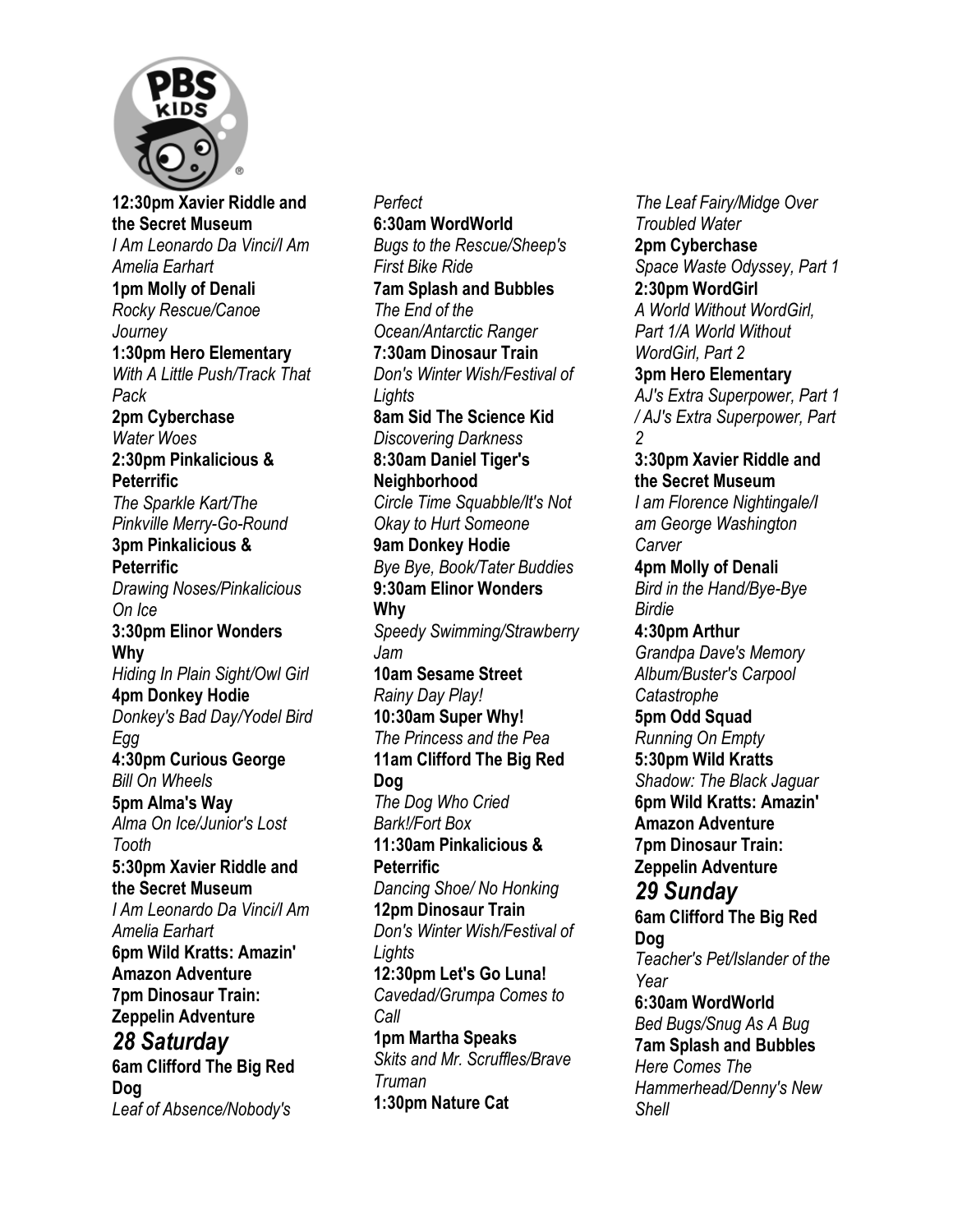

**12:30pm Xavier Riddle and the Secret Museum**  *I Am Leonardo Da Vinci/I Am Amelia Earhart*  **1pm Molly of Denali**  *Rocky Rescue/Canoe Journey*  **1:30pm Hero Elementary**  *With A Little Push/Track That Pack*  **2pm Cyberchase**  *Water Woes*  **2:30pm Pinkalicious & Peterrific**  *The Sparkle Kart/The Pinkville Merry-Go-Round*  **3pm Pinkalicious & Peterrific**  *Drawing Noses/Pinkalicious On Ice*  **3:30pm Elinor Wonders Why**  *Hiding In Plain Sight/Owl Girl*  **4pm Donkey Hodie**  *Donkey's Bad Day/Yodel Bird Egg*  **4:30pm Curious George**  *Bill On Wheels*  **5pm Alma's Way**  *Alma On Ice/Junior's Lost Tooth*  **5:30pm Xavier Riddle and the Secret Museum**  *I Am Leonardo Da Vinci/I Am Amelia Earhart*  **6pm Wild Kratts: Amazin' Amazon Adventure 7pm Dinosaur Train: Zeppelin Adventure**  *28 Saturday*  **6am Clifford The Big Red Dog**  *Leaf of Absence/Nobody's* 

*Perfect*  **6:30am WordWorld**  *Bugs to the Rescue/Sheep's First Bike Ride*  **7am Splash and Bubbles**  *The End of the Ocean/Antarctic Ranger*  **7:30am Dinosaur Train**  *Don's Winter Wish/Festival of Lights*  **8am Sid The Science Kid**  *Discovering Darkness*  **8:30am Daniel Tiger's Neighborhood**  *Circle Time Squabble/It's Not Okay to Hurt Someone*  **9am Donkey Hodie**  *Bye Bye, Book/Tater Buddies*  **9:30am Elinor Wonders Why**  *Speedy Swimming/Strawberry Jam*  **10am Sesame Street**  *Rainy Day Play!*  **10:30am Super Why!**  *The Princess and the Pea*  **11am Clifford The Big Red Dog**  *The Dog Who Cried Bark!/Fort Box*  **11:30am Pinkalicious & Peterrific**  *Dancing Shoe/ No Honking*  **12pm Dinosaur Train**  *Don's Winter Wish/Festival of Lights*  **12:30pm Let's Go Luna!**  *Cavedad/Grumpa Comes to Call*  **1pm Martha Speaks**  *Skits and Mr. Scruffles/Brave Truman*  **1:30pm Nature Cat** 

*The Leaf Fairy/Midge Over Troubled Water*  **2pm Cyberchase**  *Space Waste Odyssey, Part 1*  **2:30pm WordGirl**  *A World Without WordGirl, Part 1/A World Without WordGirl, Part 2*  **3pm Hero Elementary**  *AJ's Extra Superpower, Part 1 / AJ's Extra Superpower, Part 2*  **3:30pm Xavier Riddle and the Secret Museum**  *I am Florence Nightingale/I am George Washington Carver*  **4pm Molly of Denali**  *Bird in the Hand/Bye-Bye Birdie*  **4:30pm Arthur**  *Grandpa Dave's Memory Album/Buster's Carpool Catastrophe*  **5pm Odd Squad**  *Running On Empty*  **5:30pm Wild Kratts**  *Shadow: The Black Jaguar*  **6pm Wild Kratts: Amazin' Amazon Adventure 7pm Dinosaur Train: Zeppelin Adventure**  *29 Sunday*  **6am Clifford The Big Red Dog**  *Teacher's Pet/Islander of the Year*  **6:30am WordWorld**  *Bed Bugs/Snug As A Bug*  **7am Splash and Bubbles**  *Here Comes The Hammerhead/Denny's New Shell*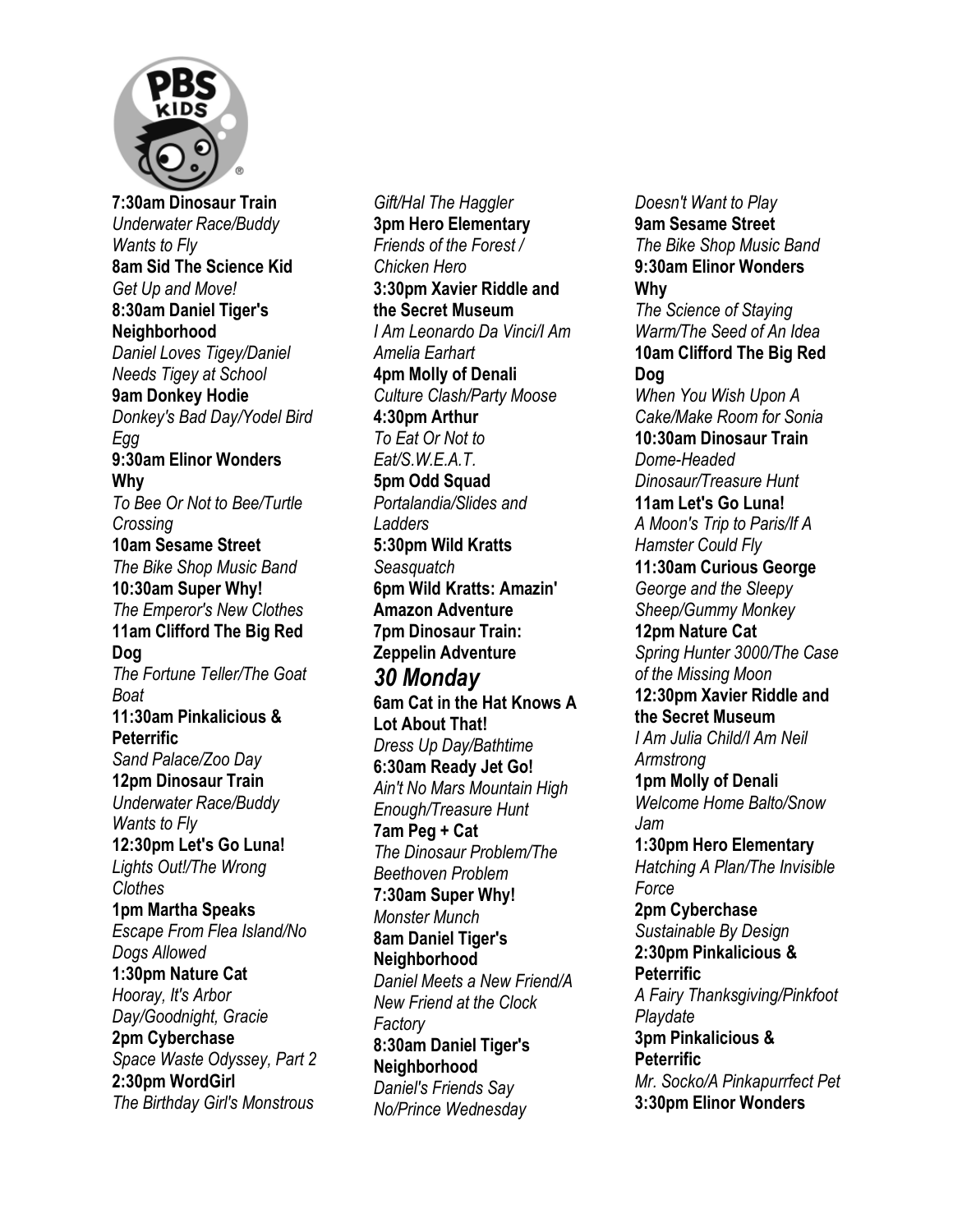

**7:30am Dinosaur Train**  *Underwater Race/Buddy Wants to Fly*  **8am Sid The Science Kid**  *Get Up and Move!*  **8:30am Daniel Tiger's Neighborhood**  *Daniel Loves Tigey/Daniel Needs Tigey at School*  **9am Donkey Hodie**  *Donkey's Bad Day/Yodel Bird Egg*  **9:30am Elinor Wonders Why**  *To Bee Or Not to Bee/Turtle Crossing*  **10am Sesame Street**  *The Bike Shop Music Band*  **10:30am Super Why!**  *The Emperor's New Clothes*  **11am Clifford The Big Red Dog**  *The Fortune Teller/The Goat Boat*  **11:30am Pinkalicious & Peterrific**  *Sand Palace/Zoo Day*  **12pm Dinosaur Train**  *Underwater Race/Buddy Wants to Fly*  **12:30pm Let's Go Luna!**  *Lights Out!/The Wrong Clothes*  **1pm Martha Speaks**  *Escape From Flea Island/No Dogs Allowed*  **1:30pm Nature Cat**  *Hooray, It's Arbor Day/Goodnight, Gracie*  **2pm Cyberchase**  *Space Waste Odyssey, Part 2*  **2:30pm WordGirl**  *The Birthday Girl's Monstrous* 

*Gift/Hal The Haggler*  **3pm Hero Elementary**  *Friends of the Forest / Chicken Hero*  **3:30pm Xavier Riddle and the Secret Museum**  *I Am Leonardo Da Vinci/I Am Amelia Earhart*  **4pm Molly of Denali**  *Culture Clash/Party Moose*  **4:30pm Arthur**  *To Eat Or Not to Eat/S.W.E.A.T.*  **5pm Odd Squad**  *Portalandia/Slides and Ladders*  **5:30pm Wild Kratts**  *Seasquatch*  **6pm Wild Kratts: Amazin' Amazon Adventure 7pm Dinosaur Train: Zeppelin Adventure**  *30 Monday*  **6am Cat in the Hat Knows A Lot About That!**  *Dress Up Day/Bathtime*  **6:30am Ready Jet Go!**  *Ain't No Mars Mountain High Enough/Treasure Hunt*  **7am Peg + Cat**  *The Dinosaur Problem/The Beethoven Problem*  **7:30am Super Why!**  *Monster Munch*  **8am Daniel Tiger's Neighborhood**  *Daniel Meets a New Friend/A New Friend at the Clock Factory*  **8:30am Daniel Tiger's Neighborhood**  *Daniel's Friends Say No/Prince Wednesday* 

*Doesn't Want to Play*  **9am Sesame Street**  *The Bike Shop Music Band*  **9:30am Elinor Wonders Why**  *The Science of Staying Warm/The Seed of An Idea*  **10am Clifford The Big Red Dog**  *When You Wish Upon A Cake/Make Room for Sonia*  **10:30am Dinosaur Train**  *Dome-Headed Dinosaur/Treasure Hunt*  **11am Let's Go Luna!**  *A Moon's Trip to Paris/If A Hamster Could Fly*  **11:30am Curious George**  *George and the Sleepy Sheep/Gummy Monkey*  **12pm Nature Cat**  *Spring Hunter 3000/The Case of the Missing Moon*  **12:30pm Xavier Riddle and the Secret Museum**  *I Am Julia Child/I Am Neil Armstrong*  **1pm Molly of Denali**  *Welcome Home Balto/Snow Jam*  **1:30pm Hero Elementary**  *Hatching A Plan/The Invisible Force*  **2pm Cyberchase**  *Sustainable By Design*  **2:30pm Pinkalicious & Peterrific**  *A Fairy Thanksgiving/Pinkfoot Playdate*  **3pm Pinkalicious & Peterrific**  *Mr. Socko/A Pinkapurrfect Pet*  **3:30pm Elinor Wonders**